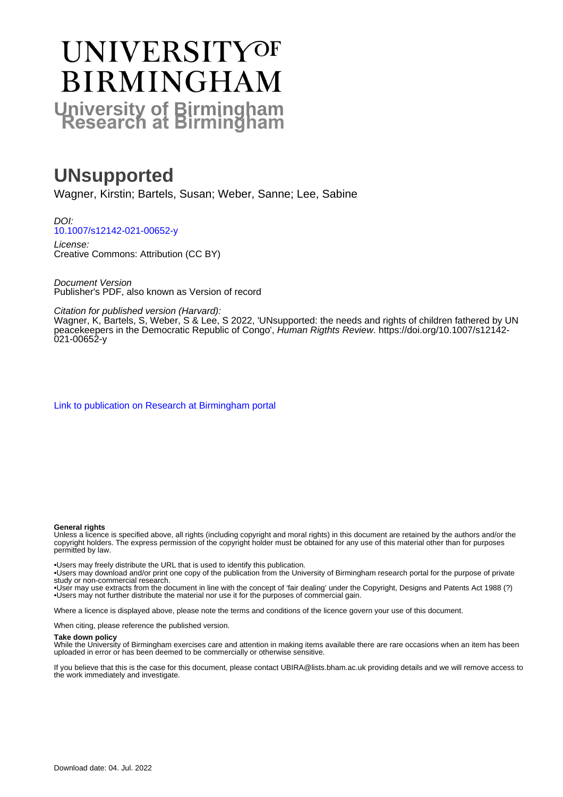# **UNIVERSITYOF BIRMINGHAM University of Birmingham**

# **UNsupported**

Wagner, Kirstin; Bartels, Susan; Weber, Sanne; Lee, Sabine

DOI: [10.1007/s12142-021-00652-y](https://doi.org/10.1007/s12142-021-00652-y)

License: Creative Commons: Attribution (CC BY)

Document Version Publisher's PDF, also known as Version of record

Citation for published version (Harvard):

Wagner, K, Bartels, S, Weber, S & Lee, S 2022, 'UNsupported: the needs and rights of children fathered by UN peacekeepers in the Democratic Republic of Congo', Human Rigthts Review. [https://doi.org/10.1007/s12142-](https://doi.org/10.1007/s12142-021-00652-y) [021-00652-y](https://doi.org/10.1007/s12142-021-00652-y)

[Link to publication on Research at Birmingham portal](https://birmingham.elsevierpure.com/en/publications/bfe5c270-014a-43df-b735-ab90afec5307)

#### **General rights**

Unless a licence is specified above, all rights (including copyright and moral rights) in this document are retained by the authors and/or the copyright holders. The express permission of the copyright holder must be obtained for any use of this material other than for purposes permitted by law.

• Users may freely distribute the URL that is used to identify this publication.

• Users may download and/or print one copy of the publication from the University of Birmingham research portal for the purpose of private study or non-commercial research.

• User may use extracts from the document in line with the concept of 'fair dealing' under the Copyright, Designs and Patents Act 1988 (?) • Users may not further distribute the material nor use it for the purposes of commercial gain.

Where a licence is displayed above, please note the terms and conditions of the licence govern your use of this document.

When citing, please reference the published version.

#### **Take down policy**

While the University of Birmingham exercises care and attention in making items available there are rare occasions when an item has been uploaded in error or has been deemed to be commercially or otherwise sensitive.

If you believe that this is the case for this document, please contact UBIRA@lists.bham.ac.uk providing details and we will remove access to the work immediately and investigate.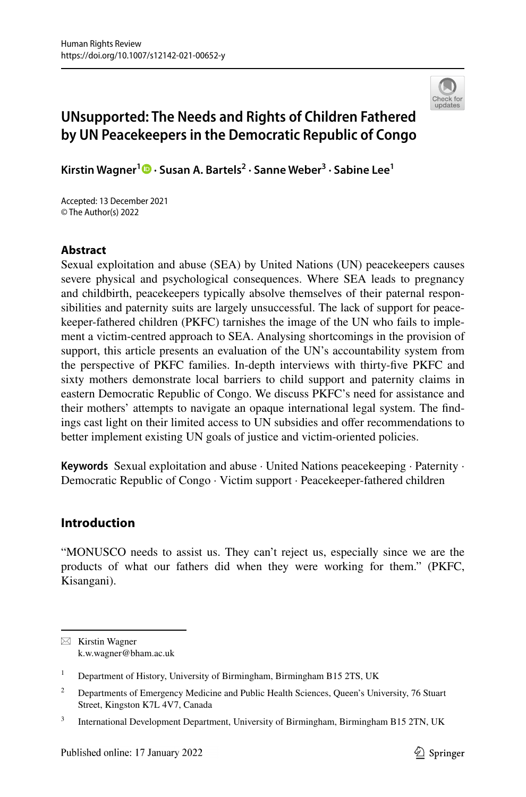

# **UNsupported: The Needs and Rights of Children Fathered by UN Peacekeepers in the Democratic Republic of Congo**

**Kirstin Wagner1  [·](http://orcid.org/0000-0002-0258-2361) Susan A. Bartels<sup>2</sup> · Sanne Weber3 · Sabine Lee1**

Accepted: 13 December 2021 © The Author(s) 2022

# **Abstract**

Sexual exploitation and abuse (SEA) by United Nations (UN) peacekeepers causes severe physical and psychological consequences. Where SEA leads to pregnancy and childbirth, peacekeepers typically absolve themselves of their paternal responsibilities and paternity suits are largely unsuccessful. The lack of support for peacekeeper-fathered children (PKFC) tarnishes the image of the UN who fails to implement a victim-centred approach to SEA. Analysing shortcomings in the provision of support, this article presents an evaluation of the UN's accountability system from the perspective of PKFC families. In-depth interviews with thirty-fve PKFC and sixty mothers demonstrate local barriers to child support and paternity claims in eastern Democratic Republic of Congo. We discuss PKFC's need for assistance and their mothers' attempts to navigate an opaque international legal system. The fndings cast light on their limited access to UN subsidies and ofer recommendations to better implement existing UN goals of justice and victim-oriented policies.

**Keywords** Sexual exploitation and abuse · United Nations peacekeeping · Paternity · Democratic Republic of Congo · Victim support · Peacekeeper-fathered children

# **Introduction**

"MONUSCO needs to assist us. They can't reject us, especially since we are the products of what our fathers did when they were working for them." (PKFC, Kisangani).

 $\boxtimes$  Kirstin Wagner k.w.wagner@bham.ac.uk

<sup>&</sup>lt;sup>1</sup> Department of History, University of Birmingham, Birmingham B15 2TS, UK

<sup>&</sup>lt;sup>2</sup> Departments of Emergency Medicine and Public Health Sciences, Queen's University, 76 Stuart Street, Kingston K7L 4V7, Canada

<sup>&</sup>lt;sup>3</sup> International Development Department, University of Birmingham, Birmingham B15 2TN, UK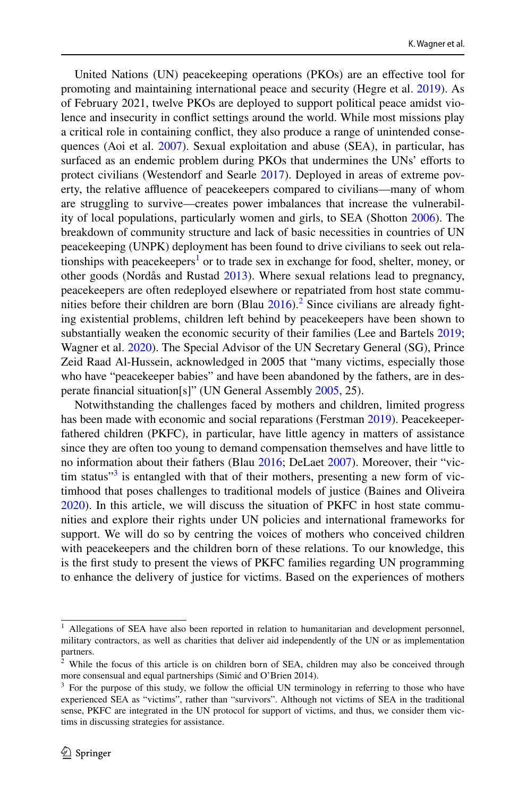United Nations (UN) peacekeeping operations (PKOs) are an efective tool for promoting and maintaining international peace and security (Hegre et al. [2019](#page-26-0)). As of February 2021, twelve PKOs are deployed to support political peace amidst violence and insecurity in confict settings around the world. While most missions play a critical role in containing confict, they also produce a range of unintended consequences (Aoi et al. [2007](#page-25-0)). Sexual exploitation and abuse (SEA), in particular, has surfaced as an endemic problem during PKOs that undermines the UNs' efforts to protect civilians (Westendorf and Searle [2017\)](#page-28-0). Deployed in areas of extreme poverty, the relative affluence of peacekeepers compared to civilians—many of whom are struggling to survive—creates power imbalances that increase the vulnerability of local populations, particularly women and girls, to SEA (Shotton [2006\)](#page-27-0). The breakdown of community structure and lack of basic necessities in countries of UN peacekeeping (UNPK) deployment has been found to drive civilians to seek out rela-tionships with peacekeepers<sup>[1](#page-2-0)</sup> or to trade sex in exchange for food, shelter, money, or other goods (Nordås and Rustad [2013](#page-26-1)). Where sexual relations lead to pregnancy, peacekeepers are often redeployed elsewhere or repatriated from host state communities before their children are born  $(B\lambda)$  and  $2016$  $2016$ ).<sup>2</sup> Since civilians are already fighting existential problems, children left behind by peacekeepers have been shown to substantially weaken the economic security of their families (Lee and Bartels [2019;](#page-26-2) Wagner et al. [2020\)](#page-28-1). The Special Advisor of the UN Secretary General (SG), Prince Zeid Raad Al-Hussein, acknowledged in 2005 that "many victims, especially those who have "peacekeeper babies" and have been abandoned by the fathers, are in desperate fnancial situation[s]" (UN General Assembly [2005,](#page-27-1) 25).

Notwithstanding the challenges faced by mothers and children, limited progress has been made with economic and social reparations (Ferstman [2019](#page-26-3)). Peacekeeperfathered children (PKFC), in particular, have little agency in matters of assistance since they are often too young to demand compensation themselves and have little to no information about their fathers (Blau [2016;](#page-25-1) DeLaet [2007\)](#page-25-2). Moreover, their "vic-tim status"<sup>[3](#page-2-2)</sup> is entangled with that of their mothers, presenting a new form of victimhood that poses challenges to traditional models of justice (Baines and Oliveira [2020](#page-25-3)). In this article, we will discuss the situation of PKFC in host state communities and explore their rights under UN policies and international frameworks for support. We will do so by centring the voices of mothers who conceived children with peacekeepers and the children born of these relations. To our knowledge, this is the frst study to present the views of PKFC families regarding UN programming to enhance the delivery of justice for victims. Based on the experiences of mothers

<span id="page-2-0"></span><sup>&</sup>lt;sup>1</sup> Allegations of SEA have also been reported in relation to humanitarian and development personnel, military contractors, as well as charities that deliver aid independently of the UN or as implementation partners.

<span id="page-2-1"></span> $2$  While the focus of this article is on children born of SEA, children may also be conceived through more consensual and equal partnerships (Simić and O'Brien 2014).

<span id="page-2-2"></span> $3$  For the purpose of this study, we follow the official UN terminology in referring to those who have experienced SEA as "victims", rather than "survivors". Although not victims of SEA in the traditional sense, PKFC are integrated in the UN protocol for support of victims, and thus, we consider them victims in discussing strategies for assistance.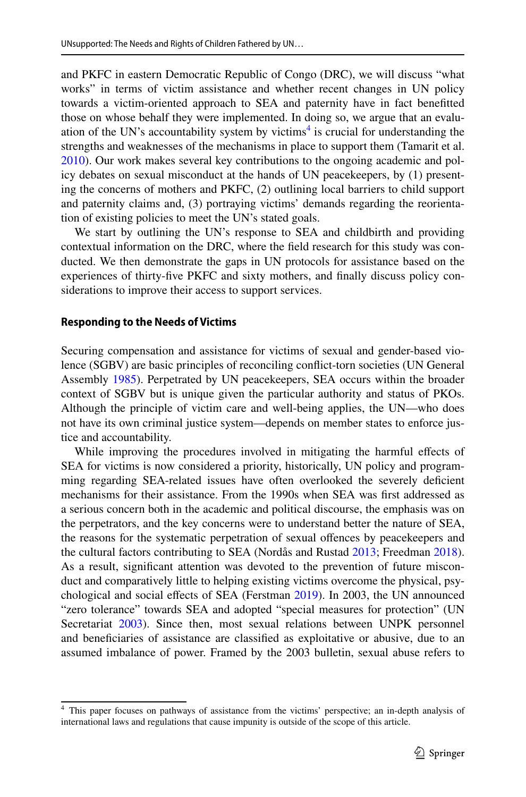and PKFC in eastern Democratic Republic of Congo (DRC), we will discuss "what works" in terms of victim assistance and whether recent changes in UN policy towards a victim-oriented approach to SEA and paternity have in fact beneftted those on whose behalf they were implemented. In doing so, we argue that an evalu-ation of the UN's accountability system by victims<sup>[4](#page-3-0)</sup> is crucial for understanding the strengths and weaknesses of the mechanisms in place to support them (Tamarit et al. [2010](#page-27-2)). Our work makes several key contributions to the ongoing academic and policy debates on sexual misconduct at the hands of UN peacekeepers, by (1) presenting the concerns of mothers and PKFC, (2) outlining local barriers to child support and paternity claims and, (3) portraying victims' demands regarding the reorientation of existing policies to meet the UN's stated goals.

We start by outlining the UN's response to SEA and childbirth and providing contextual information on the DRC, where the feld research for this study was conducted. We then demonstrate the gaps in UN protocols for assistance based on the experiences of thirty-fve PKFC and sixty mothers, and fnally discuss policy considerations to improve their access to support services.

#### **Responding to the Needs of Victims**

Securing compensation and assistance for victims of sexual and gender-based violence (SGBV) are basic principles of reconciling confict-torn societies (UN General Assembly [1985](#page-27-3)). Perpetrated by UN peacekeepers, SEA occurs within the broader context of SGBV but is unique given the particular authority and status of PKOs. Although the principle of victim care and well-being applies, the UN—who does not have its own criminal justice system—depends on member states to enforce justice and accountability.

While improving the procedures involved in mitigating the harmful effects of SEA for victims is now considered a priority, historically, UN policy and programming regarding SEA-related issues have often overlooked the severely defcient mechanisms for their assistance. From the 1990s when SEA was frst addressed as a serious concern both in the academic and political discourse, the emphasis was on the perpetrators, and the key concerns were to understand better the nature of SEA, the reasons for the systematic perpetration of sexual offences by peacekeepers and the cultural factors contributing to SEA (Nordås and Rustad [2013](#page-26-1); Freedman [2018\)](#page-26-4). As a result, signifcant attention was devoted to the prevention of future misconduct and comparatively little to helping existing victims overcome the physical, psychological and social efects of SEA (Ferstman [2019\)](#page-26-3). In 2003, the UN announced "zero tolerance" towards SEA and adopted "special measures for protection" (UN Secretariat [2003](#page-28-2)). Since then, most sexual relations between UNPK personnel and benefciaries of assistance are classifed as exploitative or abusive, due to an assumed imbalance of power. Framed by the 2003 bulletin, sexual abuse refers to

<span id="page-3-0"></span><sup>4</sup> This paper focuses on pathways of assistance from the victims' perspective; an in-depth analysis of international laws and regulations that cause impunity is outside of the scope of this article.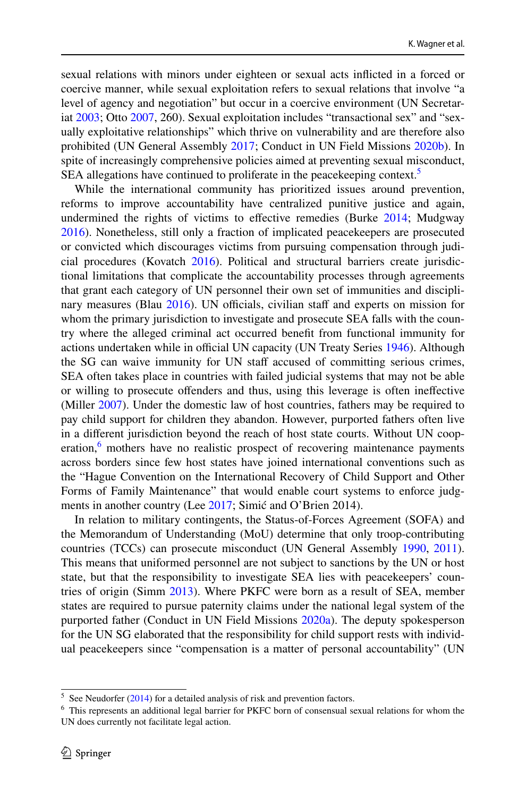sexual relations with minors under eighteen or sexual acts inficted in a forced or coercive manner, while sexual exploitation refers to sexual relations that involve "a level of agency and negotiation" but occur in a coercive environment (UN Secretariat [2003](#page-28-2); Otto [2007,](#page-27-4) 260). Sexual exploitation includes "transactional sex" and "sexually exploitative relationships" which thrive on vulnerability and are therefore also prohibited (UN General Assembly [2017](#page-27-5); Conduct in UN Field Missions [2020b](#page-25-4)). In spite of increasingly comprehensive policies aimed at preventing sexual misconduct, SEA allegations have continued to proliferate in the peacekeeping context.<sup>[5](#page-4-0)</sup>

While the international community has prioritized issues around prevention, reforms to improve accountability have centralized punitive justice and again, undermined the rights of victims to efective remedies (Burke [2014;](#page-25-5) Mudgway [2016](#page-26-5)). Nonetheless, still only a fraction of implicated peacekeepers are prosecuted or convicted which discourages victims from pursuing compensation through judicial procedures (Kovatch [2016](#page-26-6)). Political and structural barriers create jurisdictional limitations that complicate the accountability processes through agreements that grant each category of UN personnel their own set of immunities and disciplinary measures (Blau  $2016$ ). UN officials, civilian staff and experts on mission for whom the primary jurisdiction to investigate and prosecute SEA falls with the country where the alleged criminal act occurred beneft from functional immunity for actions undertaken while in official UN capacity (UN Treaty Series [1946](#page-28-3)). Although the SG can waive immunity for UN staf accused of committing serious crimes, SEA often takes place in countries with failed judicial systems that may not be able or willing to prosecute ofenders and thus, using this leverage is often inefective (Miller [2007](#page-26-7)). Under the domestic law of host countries, fathers may be required to pay child support for children they abandon. However, purported fathers often live in a diferent jurisdiction beyond the reach of host state courts. Without UN coop-eration,<sup>[6](#page-4-1)</sup> mothers have no realistic prospect of recovering maintenance payments across borders since few host states have joined international conventions such as the "Hague Convention on the International Recovery of Child Support and Other Forms of Family Maintenance" that would enable court systems to enforce judgments in another country (Lee [2017](#page-26-8); Simić and O'Brien 2014).

In relation to military contingents, the Status-of-Forces Agreement (SOFA) and the Memorandum of Understanding (MoU) determine that only troop-contributing countries (TCCs) can prosecute misconduct (UN General Assembly [1990](#page-27-6), [2011\)](#page-27-7). This means that uniformed personnel are not subject to sanctions by the UN or host state, but that the responsibility to investigate SEA lies with peacekeepers' countries of origin (Simm [2013\)](#page-27-8). Where PKFC were born as a result of SEA, member states are required to pursue paternity claims under the national legal system of the purported father (Conduct in UN Field Missions [2020a](#page-25-6)). The deputy spokesperson for the UN SG elaborated that the responsibility for child support rests with individual peacekeepers since "compensation is a matter of personal accountability" (UN

<span id="page-4-0"></span> $5$  See Neudorfer ([2014\)](#page-26-9) for a detailed analysis of risk and prevention factors.

<span id="page-4-1"></span><sup>6</sup> This represents an additional legal barrier for PKFC born of consensual sexual relations for whom the UN does currently not facilitate legal action.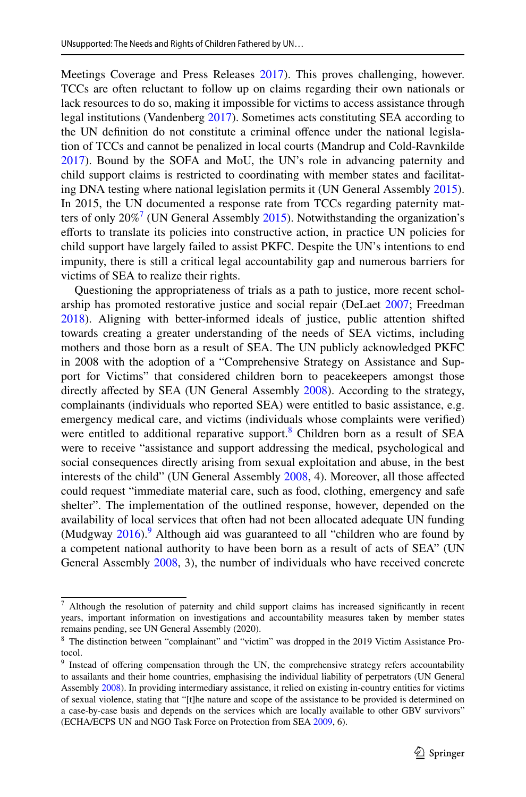Meetings Coverage and Press Releases [2017](#page-27-9)). This proves challenging, however. TCCs are often reluctant to follow up on claims regarding their own nationals or lack resources to do so, making it impossible for victims to access assistance through legal institutions (Vandenberg [2017\)](#page-28-4). Sometimes acts constituting SEA according to the UN defnition do not constitute a criminal ofence under the national legislation of TCCs and cannot be penalized in local courts (Mandrup and Cold-Ravnkilde [2017](#page-26-10)). Bound by the SOFA and MoU, the UN's role in advancing paternity and child support claims is restricted to coordinating with member states and facilitating DNA testing where national legislation permits it (UN General Assembly [2015\)](#page-27-10). In 2015, the UN documented a response rate from TCCs regarding paternity matters of only  $20\%$ <sup>[7](#page-5-0)</sup> (UN General Assembly [2015\)](#page-27-10). Notwithstanding the organization's eforts to translate its policies into constructive action, in practice UN policies for child support have largely failed to assist PKFC. Despite the UN's intentions to end impunity, there is still a critical legal accountability gap and numerous barriers for victims of SEA to realize their rights.

Questioning the appropriateness of trials as a path to justice, more recent scholarship has promoted restorative justice and social repair (DeLaet [2007;](#page-25-2) Freedman [2018](#page-26-4)). Aligning with better-informed ideals of justice, public attention shifted towards creating a greater understanding of the needs of SEA victims, including mothers and those born as a result of SEA. The UN publicly acknowledged PKFC in 2008 with the adoption of a "Comprehensive Strategy on Assistance and Support for Victims" that considered children born to peacekeepers amongst those directly affected by SEA (UN General Assembly [2008\)](#page-27-11). According to the strategy, complainants (individuals who reported SEA) were entitled to basic assistance, e.g. emergency medical care, and victims (individuals whose complaints were verifed) were entitled to additional reparative support.<sup>[8](#page-5-1)</sup> Children born as a result of SEA were to receive "assistance and support addressing the medical, psychological and social consequences directly arising from sexual exploitation and abuse, in the best interests of the child" (UN General Assembly [2008](#page-27-11), 4). Moreover, all those afected could request "immediate material care, such as food, clothing, emergency and safe shelter". The implementation of the outlined response, however, depended on the availability of local services that often had not been allocated adequate UN funding (Mudgway  $2016$ ).<sup>[9](#page-5-2)</sup> Although aid was guaranteed to all "children who are found by a competent national authority to have been born as a result of acts of SEA" (UN General Assembly [2008,](#page-27-11) 3), the number of individuals who have received concrete

<span id="page-5-0"></span><sup>7</sup> Although the resolution of paternity and child support claims has increased signifcantly in recent years, important information on investigations and accountability measures taken by member states remains pending, see UN General Assembly (2020).

<span id="page-5-1"></span><sup>&</sup>lt;sup>8</sup> The distinction between "complainant" and "victim" was dropped in the 2019 Victim Assistance Protocol.

<span id="page-5-2"></span><sup>&</sup>lt;sup>9</sup> Instead of offering compensation through the UN, the comprehensive strategy refers accountability to assailants and their home countries, emphasising the individual liability of perpetrators (UN General Assembly [2008\)](#page-27-11). In providing intermediary assistance, it relied on existing in-country entities for victims of sexual violence, stating that "[t]he nature and scope of the assistance to be provided is determined on a case-by-case basis and depends on the services which are locally available to other GBV survivors" (ECHA/ECPS UN and NGO Task Force on Protection from SEA [2009,](#page-25-7) 6).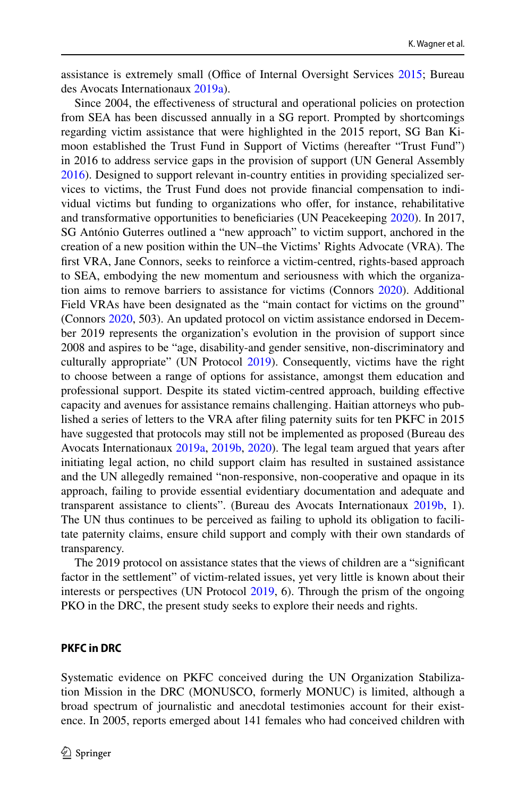assistance is extremely small (Office of Internal Oversight Services [2015;](#page-26-11) Bureau des Avocats Internationaux [2019a\)](#page-25-8).

Since 2004, the efectiveness of structural and operational policies on protection from SEA has been discussed annually in a SG report. Prompted by shortcomings regarding victim assistance that were highlighted in the 2015 report, SG Ban Kimoon established the Trust Fund in Support of Victims (hereafter "Trust Fund") in 2016 to address service gaps in the provision of support (UN General Assembly [2016](#page-27-12)). Designed to support relevant in-country entities in providing specialized services to victims, the Trust Fund does not provide fnancial compensation to individual victims but funding to organizations who offer, for instance, rehabilitative and transformative opportunities to beneficiaries (UN Peacekeeping [2020](#page-27-13)). In 2017, SG António Guterres outlined a "new approach" to victim support, anchored in the creation of a new position within the UN–the Victims' Rights Advocate (VRA). The frst VRA, Jane Connors, seeks to reinforce a victim-centred, rights-based approach to SEA, embodying the new momentum and seriousness with which the organization aims to remove barriers to assistance for victims (Connors [2020](#page-25-9)). Additional Field VRAs have been designated as the "main contact for victims on the ground" (Connors [2020,](#page-25-9) 503). An updated protocol on victim assistance endorsed in December 2019 represents the organization's evolution in the provision of support since 2008 and aspires to be "age, disability-and gender sensitive, non-discriminatory and culturally appropriate" (UN Protocol [2019\)](#page-27-14). Consequently, victims have the right to choose between a range of options for assistance, amongst them education and professional support. Despite its stated victim-centred approach, building efective capacity and avenues for assistance remains challenging. Haitian attorneys who published a series of letters to the VRA after fling paternity suits for ten PKFC in 2015 have suggested that protocols may still not be implemented as proposed (Bureau des Avocats Internationaux [2019a,](#page-25-8) [2019b,](#page-25-10) [2020](#page-25-11)). The legal team argued that years after initiating legal action, no child support claim has resulted in sustained assistance and the UN allegedly remained "non-responsive, non-cooperative and opaque in its approach, failing to provide essential evidentiary documentation and adequate and transparent assistance to clients". (Bureau des Avocats Internationaux [2019b,](#page-25-10) 1). The UN thus continues to be perceived as failing to uphold its obligation to facilitate paternity claims, ensure child support and comply with their own standards of transparency.

The 2019 protocol on assistance states that the views of children are a "signifcant factor in the settlement" of victim-related issues, yet very little is known about their interests or perspectives (UN Protocol [2019](#page-27-14), 6). Through the prism of the ongoing PKO in the DRC, the present study seeks to explore their needs and rights.

#### **PKFC in DRC**

Systematic evidence on PKFC conceived during the UN Organization Stabilization Mission in the DRC (MONUSCO, formerly MONUC) is limited, although a broad spectrum of journalistic and anecdotal testimonies account for their existence. In 2005, reports emerged about 141 females who had conceived children with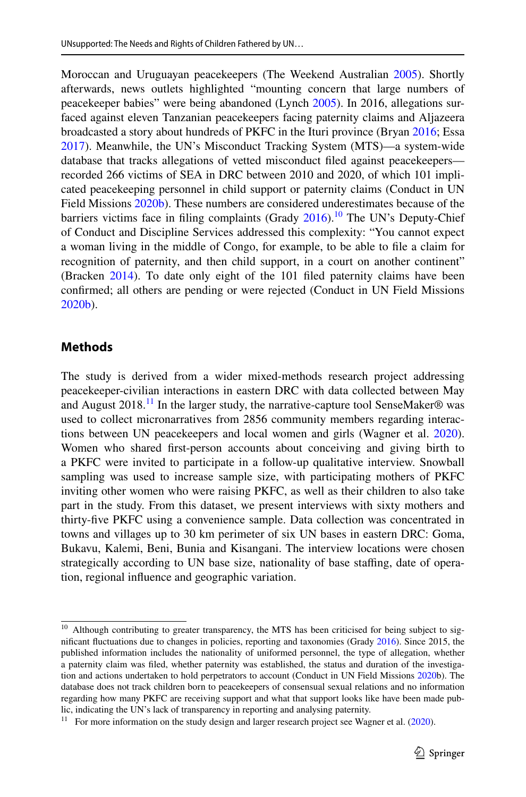Moroccan and Uruguayan peacekeepers (The Weekend Australian [2005\)](#page-27-15). Shortly afterwards, news outlets highlighted "mounting concern that large numbers of peacekeeper babies" were being abandoned (Lynch [2005](#page-26-12)). In 2016, allegations surfaced against eleven Tanzanian peacekeepers facing paternity claims and Aljazeera broadcasted a story about hundreds of PKFC in the Ituri province (Bryan [2016;](#page-25-12) Essa [2017](#page-26-13)). Meanwhile, the UN's Misconduct Tracking System (MTS)—a system-wide database that tracks allegations of vetted misconduct fled against peacekeepers recorded 266 victims of SEA in DRC between 2010 and 2020, of which 101 implicated peacekeeping personnel in child support or paternity claims (Conduct in UN Field Missions [2020b](#page-25-4)). These numbers are considered underestimates because of the barriers victims face in filing complaints (Grady  $2016$ ).<sup>10</sup> The UN's Deputy-Chief of Conduct and Discipline Services addressed this complexity: "You cannot expect a woman living in the middle of Congo, for example, to be able to fle a claim for recognition of paternity, and then child support, in a court on another continent" (Bracken [2014\)](#page-25-13). To date only eight of the 101 fled paternity claims have been confrmed; all others are pending or were rejected (Conduct in UN Field Missions [2020b](#page-25-4)).

# **Methods**

The study is derived from a wider mixed-methods research project addressing peacekeeper-civilian interactions in eastern DRC with data collected between May and August  $2018<sup>11</sup>$  In the larger study, the narrative-capture tool SenseMaker® was used to collect micronarratives from 2856 community members regarding interactions between UN peacekeepers and local women and girls (Wagner et al. [2020\)](#page-28-1). Women who shared frst-person accounts about conceiving and giving birth to a PKFC were invited to participate in a follow-up qualitative interview. Snowball sampling was used to increase sample size, with participating mothers of PKFC inviting other women who were raising PKFC, as well as their children to also take part in the study. From this dataset, we present interviews with sixty mothers and thirty-fve PKFC using a convenience sample. Data collection was concentrated in towns and villages up to 30 km perimeter of six UN bases in eastern DRC: Goma, Bukavu, Kalemi, Beni, Bunia and Kisangani. The interview locations were chosen strategically according to UN base size, nationality of base staffing, date of operation, regional infuence and geographic variation.

<span id="page-7-0"></span><sup>&</sup>lt;sup>10</sup> Although contributing to greater transparency, the MTS has been criticised for being subject to signifcant fuctuations due to changes in policies, reporting and taxonomies (Grady [2016](#page-26-14)). Since 2015, the published information includes the nationality of uniformed personnel, the type of allegation, whether a paternity claim was fled, whether paternity was established, the status and duration of the investigation and actions undertaken to hold perpetrators to account (Conduct in UN Field Missions [2020b](#page-25-4)). The database does not track children born to peacekeepers of consensual sexual relations and no information regarding how many PKFC are receiving support and what that support looks like have been made public, indicating the UN's lack of transparency in reporting and analysing paternity.

<span id="page-7-1"></span><sup>&</sup>lt;sup>11</sup> For more information on the study design and larger research project see Wagner et al.  $(2020)$  $(2020)$ .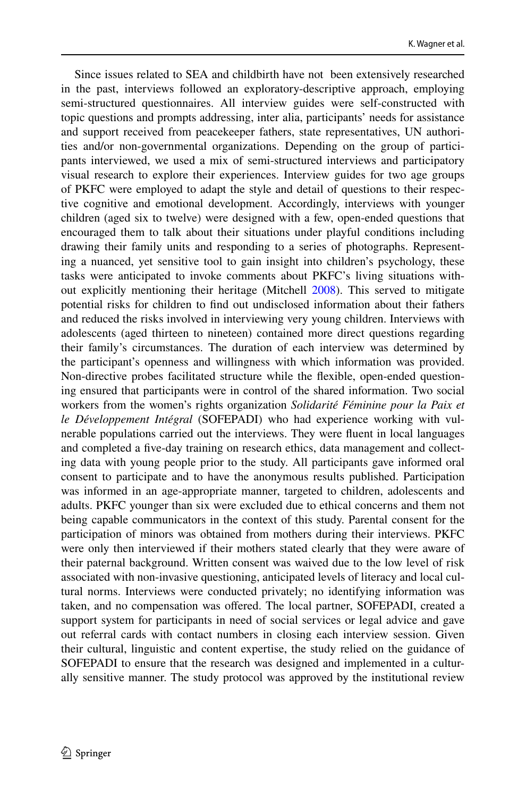Since issues related to SEA and childbirth have not been extensively researched in the past, interviews followed an exploratory-descriptive approach, employing semi-structured questionnaires. All interview guides were self-constructed with topic questions and prompts addressing, inter alia, participants' needs for assistance and support received from peacekeeper fathers, state representatives, UN authorities and/or non-governmental organizations. Depending on the group of participants interviewed, we used a mix of semi-structured interviews and participatory visual research to explore their experiences. Interview guides for two age groups of PKFC were employed to adapt the style and detail of questions to their respective cognitive and emotional development. Accordingly, interviews with younger children (aged six to twelve) were designed with a few, open-ended questions that encouraged them to talk about their situations under playful conditions including drawing their family units and responding to a series of photographs. Representing a nuanced, yet sensitive tool to gain insight into children's psychology, these tasks were anticipated to invoke comments about PKFC's living situations without explicitly mentioning their heritage (Mitchell [2008\)](#page-26-15). This served to mitigate potential risks for children to fnd out undisclosed information about their fathers and reduced the risks involved in interviewing very young children. Interviews with adolescents (aged thirteen to nineteen) contained more direct questions regarding their family's circumstances. The duration of each interview was determined by the participant's openness and willingness with which information was provided. Non-directive probes facilitated structure while the fexible, open-ended questioning ensured that participants were in control of the shared information. Two social workers from the women's rights organization *Solidarité Féminine pour la Paix et le Développement Intégral* (SOFEPADI) who had experience working with vulnerable populations carried out the interviews. They were fuent in local languages and completed a fve-day training on research ethics, data management and collecting data with young people prior to the study. All participants gave informed oral consent to participate and to have the anonymous results published. Participation was informed in an age-appropriate manner, targeted to children, adolescents and adults. PKFC younger than six were excluded due to ethical concerns and them not being capable communicators in the context of this study. Parental consent for the participation of minors was obtained from mothers during their interviews. PKFC were only then interviewed if their mothers stated clearly that they were aware of their paternal background. Written consent was waived due to the low level of risk associated with non-invasive questioning, anticipated levels of literacy and local cultural norms. Interviews were conducted privately; no identifying information was taken, and no compensation was ofered. The local partner, SOFEPADI, created a support system for participants in need of social services or legal advice and gave out referral cards with contact numbers in closing each interview session. Given their cultural, linguistic and content expertise, the study relied on the guidance of SOFEPADI to ensure that the research was designed and implemented in a culturally sensitive manner. The study protocol was approved by the institutional review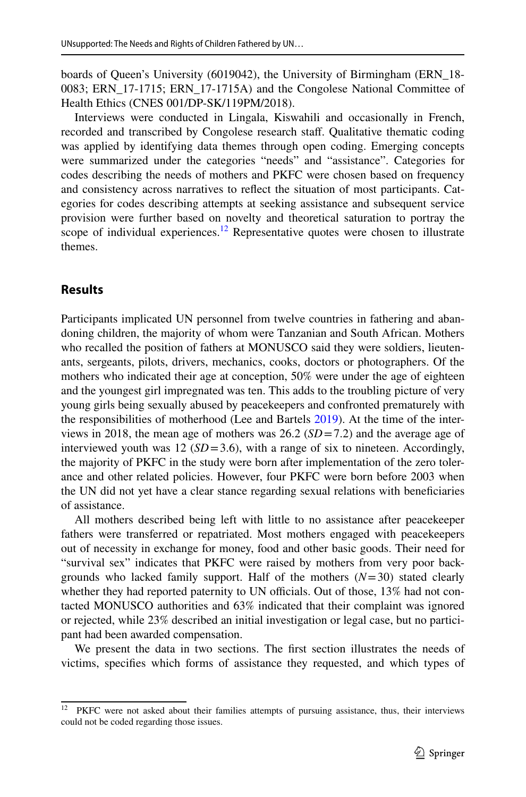boards of Queen's University (6019042), the University of Birmingham (ERN\_18- 0083; ERN\_17-1715; ERN\_17-1715A) and the Congolese National Committee of Health Ethics (CNES 001/DP-SK/119PM/2018).

Interviews were conducted in Lingala, Kiswahili and occasionally in French, recorded and transcribed by Congolese research staff. Qualitative thematic coding was applied by identifying data themes through open coding. Emerging concepts were summarized under the categories "needs" and "assistance". Categories for codes describing the needs of mothers and PKFC were chosen based on frequency and consistency across narratives to refect the situation of most participants. Categories for codes describing attempts at seeking assistance and subsequent service provision were further based on novelty and theoretical saturation to portray the scope of individual experiences.<sup>12</sup> Representative quotes were chosen to illustrate themes.

# **Results**

Participants implicated UN personnel from twelve countries in fathering and abandoning children, the majority of whom were Tanzanian and South African. Mothers who recalled the position of fathers at MONUSCO said they were soldiers, lieutenants, sergeants, pilots, drivers, mechanics, cooks, doctors or photographers. Of the mothers who indicated their age at conception, 50% were under the age of eighteen and the youngest girl impregnated was ten. This adds to the troubling picture of very young girls being sexually abused by peacekeepers and confronted prematurely with the responsibilities of motherhood (Lee and Bartels [2019\)](#page-26-2). At the time of the interviews in 2018, the mean age of mothers was 26.2 (*SD*=7.2) and the average age of interviewed youth was 12 ( $SD = 3.6$ ), with a range of six to nineteen. Accordingly, the majority of PKFC in the study were born after implementation of the zero tolerance and other related policies. However, four PKFC were born before 2003 when the UN did not yet have a clear stance regarding sexual relations with benefciaries of assistance.

All mothers described being left with little to no assistance after peacekeeper fathers were transferred or repatriated. Most mothers engaged with peacekeepers out of necessity in exchange for money, food and other basic goods. Their need for "survival sex" indicates that PKFC were raised by mothers from very poor backgrounds who lacked family support. Half of the mothers (*N*=30) stated clearly whether they had reported paternity to UN officials. Out of those, 13% had not contacted MONUSCO authorities and 63% indicated that their complaint was ignored or rejected, while 23% described an initial investigation or legal case, but no participant had been awarded compensation.

We present the data in two sections. The frst section illustrates the needs of victims, specifes which forms of assistance they requested, and which types of

<span id="page-9-0"></span><sup>&</sup>lt;sup>12</sup> PKFC were not asked about their families attempts of pursuing assistance, thus, their interviews could not be coded regarding those issues.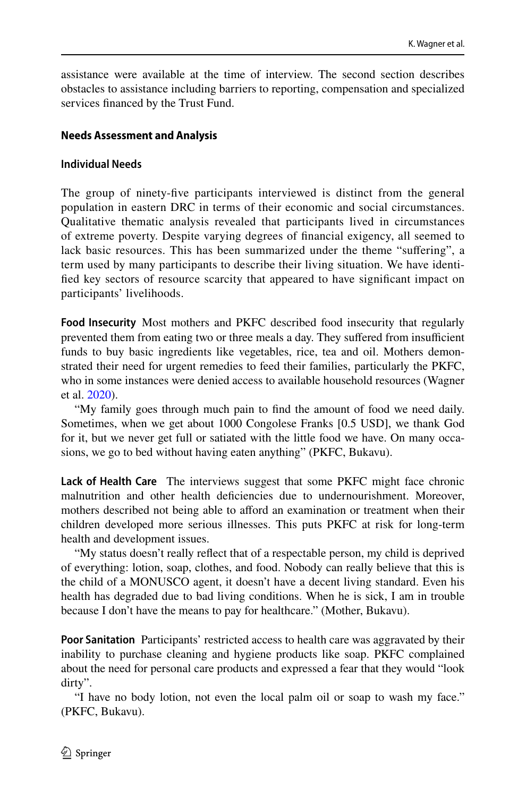assistance were available at the time of interview. The second section describes obstacles to assistance including barriers to reporting, compensation and specialized services fnanced by the Trust Fund.

## **Needs Assessment and Analysis**

#### **Individual Needs**

The group of ninety-fve participants interviewed is distinct from the general population in eastern DRC in terms of their economic and social circumstances. Qualitative thematic analysis revealed that participants lived in circumstances of extreme poverty. Despite varying degrees of fnancial exigency, all seemed to lack basic resources. This has been summarized under the theme "sufering", a term used by many participants to describe their living situation. We have identifed key sectors of resource scarcity that appeared to have signifcant impact on participants' livelihoods.

**Food Insecurity** Most mothers and PKFC described food insecurity that regularly prevented them from eating two or three meals a day. They suffered from insufficient funds to buy basic ingredients like vegetables, rice, tea and oil. Mothers demonstrated their need for urgent remedies to feed their families, particularly the PKFC, who in some instances were denied access to available household resources (Wagner et al. [2020\)](#page-28-1).

"My family goes through much pain to fnd the amount of food we need daily. Sometimes, when we get about 1000 Congolese Franks [0.5 USD], we thank God for it, but we never get full or satiated with the little food we have. On many occasions, we go to bed without having eaten anything" (PKFC, Bukavu).

**Lack of Health Care** The interviews suggest that some PKFC might face chronic malnutrition and other health defciencies due to undernourishment. Moreover, mothers described not being able to aford an examination or treatment when their children developed more serious illnesses. This puts PKFC at risk for long-term health and development issues.

"My status doesn't really refect that of a respectable person, my child is deprived of everything: lotion, soap, clothes, and food. Nobody can really believe that this is the child of a MONUSCO agent, it doesn't have a decent living standard. Even his health has degraded due to bad living conditions. When he is sick, I am in trouble because I don't have the means to pay for healthcare." (Mother, Bukavu).

**Poor Sanitation** Participants' restricted access to health care was aggravated by their inability to purchase cleaning and hygiene products like soap. PKFC complained about the need for personal care products and expressed a fear that they would "look dirty".

"I have no body lotion, not even the local palm oil or soap to wash my face." (PKFC, Bukavu).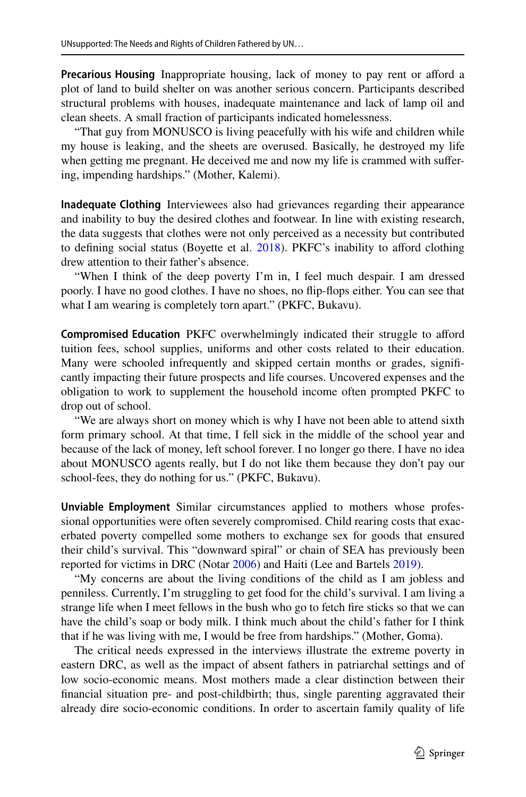Precarious Housing Inappropriate housing, lack of money to pay rent or afford a plot of land to build shelter on was another serious concern. Participants described structural problems with houses, inadequate maintenance and lack of lamp oil and clean sheets. A small fraction of participants indicated homelessness.

"That guy from MONUSCO is living peacefully with his wife and children while my house is leaking, and the sheets are overused. Basically, he destroyed my life when getting me pregnant. He deceived me and now my life is crammed with sufering, impending hardships." (Mother, Kalemi).

**Inadequate Clothing** Interviewees also had grievances regarding their appearance and inability to buy the desired clothes and footwear. In line with existing research, the data suggests that clothes were not only perceived as a necessity but contributed to defining social status (Boyette et al. [2018](#page-25-14)). PKFC's inability to afford clothing drew attention to their father's absence.

"When I think of the deep poverty I'm in, I feel much despair. I am dressed poorly. I have no good clothes. I have no shoes, no fip-fops either. You can see that what I am wearing is completely torn apart." (PKFC, Bukavu).

**Compromised Education** PKFC overwhelmingly indicated their struggle to aford tuition fees, school supplies, uniforms and other costs related to their education. Many were schooled infrequently and skipped certain months or grades, signifcantly impacting their future prospects and life courses. Uncovered expenses and the obligation to work to supplement the household income often prompted PKFC to drop out of school.

"We are always short on money which is why I have not been able to attend sixth form primary school. At that time, I fell sick in the middle of the school year and because of the lack of money, left school forever. I no longer go there. I have no idea about MONUSCO agents really, but I do not like them because they don't pay our school-fees, they do nothing for us." (PKFC, Bukavu).

**Unviable Employment** Similar circumstances applied to mothers whose professional opportunities were often severely compromised. Child rearing costs that exacerbated poverty compelled some mothers to exchange sex for goods that ensured their child's survival. This "downward spiral" or chain of SEA has previously been reported for victims in DRC (Notar [2006](#page-26-16)) and Haiti (Lee and Bartels [2019\)](#page-26-2).

"My concerns are about the living conditions of the child as I am jobless and penniless. Currently, I'm struggling to get food for the child's survival. I am living a strange life when I meet fellows in the bush who go to fetch fre sticks so that we can have the child's soap or body milk. I think much about the child's father for I think that if he was living with me, I would be free from hardships." (Mother, Goma).

The critical needs expressed in the interviews illustrate the extreme poverty in eastern DRC, as well as the impact of absent fathers in patriarchal settings and of low socio-economic means. Most mothers made a clear distinction between their fnancial situation pre- and post-childbirth; thus, single parenting aggravated their already dire socio-economic conditions. In order to ascertain family quality of life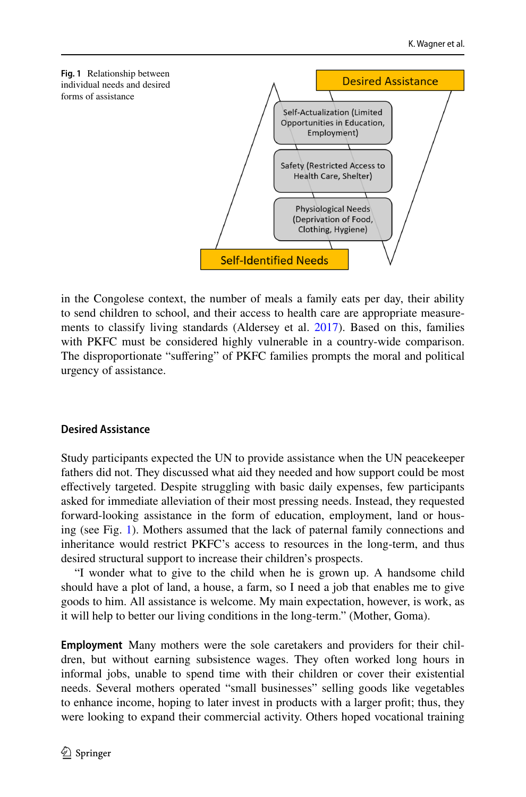<span id="page-12-0"></span>

in the Congolese context, the number of meals a family eats per day, their ability to send children to school, and their access to health care are appropriate measurements to classify living standards (Aldersey et al. [2017\)](#page-25-15). Based on this, families with PKFC must be considered highly vulnerable in a country-wide comparison. The disproportionate "sufering" of PKFC families prompts the moral and political urgency of assistance.

# **Desired Assistance**

Study participants expected the UN to provide assistance when the UN peacekeeper fathers did not. They discussed what aid they needed and how support could be most efectively targeted. Despite struggling with basic daily expenses, few participants asked for immediate alleviation of their most pressing needs. Instead, they requested forward-looking assistance in the form of education, employment, land or housing (see Fig. [1](#page-12-0)). Mothers assumed that the lack of paternal family connections and inheritance would restrict PKFC's access to resources in the long-term, and thus desired structural support to increase their children's prospects.

"I wonder what to give to the child when he is grown up. A handsome child should have a plot of land, a house, a farm, so I need a job that enables me to give goods to him. All assistance is welcome. My main expectation, however, is work, as it will help to better our living conditions in the long-term." (Mother, Goma).

**Employment** Many mothers were the sole caretakers and providers for their children, but without earning subsistence wages. They often worked long hours in informal jobs, unable to spend time with their children or cover their existential needs. Several mothers operated "small businesses" selling goods like vegetables to enhance income, hoping to later invest in products with a larger proft; thus, they were looking to expand their commercial activity. Others hoped vocational training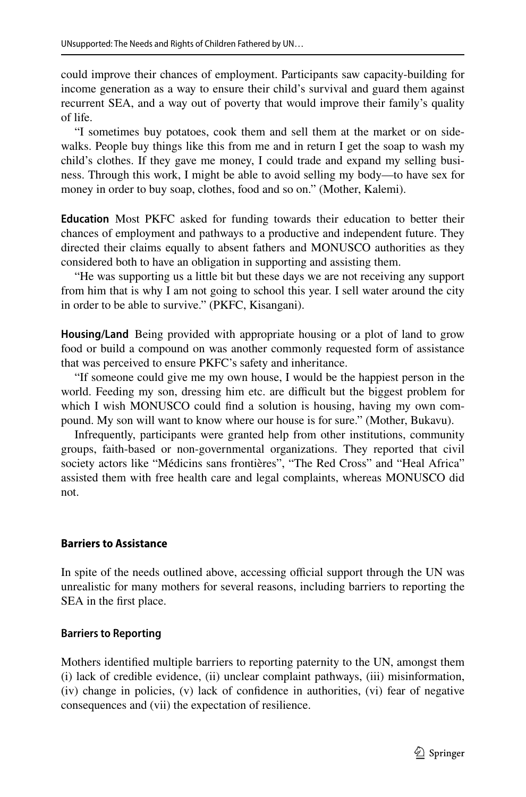could improve their chances of employment. Participants saw capacity-building for income generation as a way to ensure their child's survival and guard them against recurrent SEA, and a way out of poverty that would improve their family's quality of life.

"I sometimes buy potatoes, cook them and sell them at the market or on sidewalks. People buy things like this from me and in return I get the soap to wash my child's clothes. If they gave me money, I could trade and expand my selling business. Through this work, I might be able to avoid selling my body—to have sex for money in order to buy soap, clothes, food and so on." (Mother, Kalemi).

**Education** Most PKFC asked for funding towards their education to better their chances of employment and pathways to a productive and independent future. They directed their claims equally to absent fathers and MONUSCO authorities as they considered both to have an obligation in supporting and assisting them.

"He was supporting us a little bit but these days we are not receiving any support from him that is why I am not going to school this year. I sell water around the city in order to be able to survive." (PKFC, Kisangani).

**Housing/Land** Being provided with appropriate housing or a plot of land to grow food or build a compound on was another commonly requested form of assistance that was perceived to ensure PKFC's safety and inheritance.

"If someone could give me my own house, I would be the happiest person in the world. Feeding my son, dressing him etc. are difficult but the biggest problem for which I wish MONUSCO could fnd a solution is housing, having my own compound. My son will want to know where our house is for sure." (Mother, Bukavu).

Infrequently, participants were granted help from other institutions, community groups, faith-based or non-governmental organizations. They reported that civil society actors like "Médicins sans frontières", "The Red Cross" and "Heal Africa" assisted them with free health care and legal complaints, whereas MONUSCO did not.

### **Barriers to Assistance**

In spite of the needs outlined above, accessing official support through the UN was unrealistic for many mothers for several reasons, including barriers to reporting the SEA in the frst place.

### **Barriers to Reporting**

Mothers identifed multiple barriers to reporting paternity to the UN, amongst them (i) lack of credible evidence, (ii) unclear complaint pathways, (iii) misinformation, (iv) change in policies, (v) lack of confdence in authorities, (vi) fear of negative consequences and (vii) the expectation of resilience.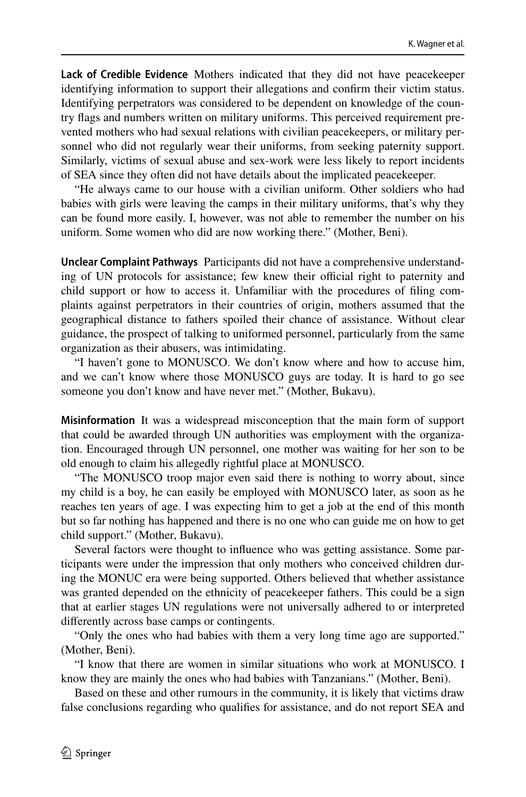**Lack of Credible Evidence** Mothers indicated that they did not have peacekeeper identifying information to support their allegations and confrm their victim status. Identifying perpetrators was considered to be dependent on knowledge of the country fags and numbers written on military uniforms. This perceived requirement prevented mothers who had sexual relations with civilian peacekeepers, or military personnel who did not regularly wear their uniforms, from seeking paternity support. Similarly, victims of sexual abuse and sex-work were less likely to report incidents of SEA since they often did not have details about the implicated peacekeeper.

"He always came to our house with a civilian uniform. Other soldiers who had babies with girls were leaving the camps in their military uniforms, that's why they can be found more easily. I, however, was not able to remember the number on his uniform. Some women who did are now working there." (Mother, Beni).

**Unclear Complaint Pathways** Participants did not have a comprehensive understanding of UN protocols for assistance; few knew their official right to paternity and child support or how to access it. Unfamiliar with the procedures of fling complaints against perpetrators in their countries of origin, mothers assumed that the geographical distance to fathers spoiled their chance of assistance. Without clear guidance, the prospect of talking to uniformed personnel, particularly from the same organization as their abusers, was intimidating.

"I haven't gone to MONUSCO. We don't know where and how to accuse him, and we can't know where those MONUSCO guys are today. It is hard to go see someone you don't know and have never met." (Mother, Bukavu).

**Misinformation** It was a widespread misconception that the main form of support that could be awarded through UN authorities was employment with the organization. Encouraged through UN personnel, one mother was waiting for her son to be old enough to claim his allegedly rightful place at MONUSCO.

"The MONUSCO troop major even said there is nothing to worry about, since my child is a boy, he can easily be employed with MONUSCO later, as soon as he reaches ten years of age. I was expecting him to get a job at the end of this month but so far nothing has happened and there is no one who can guide me on how to get child support." (Mother, Bukavu).

Several factors were thought to infuence who was getting assistance. Some participants were under the impression that only mothers who conceived children during the MONUC era were being supported. Others believed that whether assistance was granted depended on the ethnicity of peacekeeper fathers. This could be a sign that at earlier stages UN regulations were not universally adhered to or interpreted diferently across base camps or contingents.

"Only the ones who had babies with them a very long time ago are supported." (Mother, Beni).

"I know that there are women in similar situations who work at MONUSCO. I know they are mainly the ones who had babies with Tanzanians." (Mother, Beni).

Based on these and other rumours in the community, it is likely that victims draw false conclusions regarding who qualifes for assistance, and do not report SEA and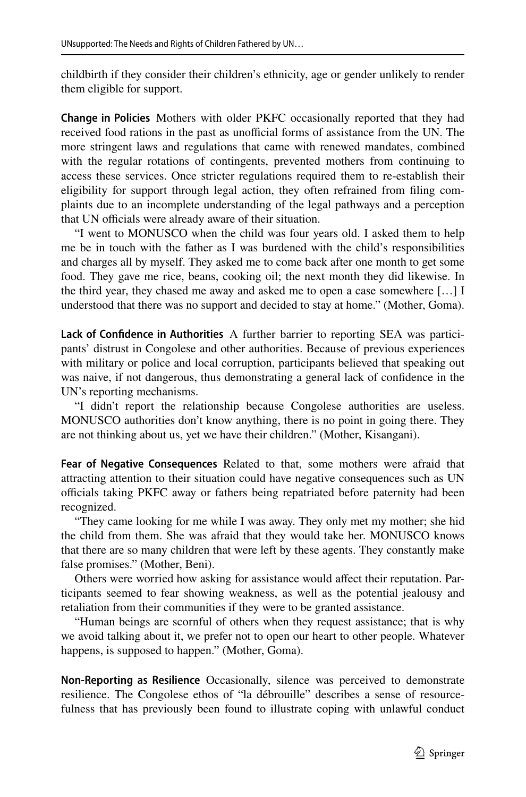childbirth if they consider their children's ethnicity, age or gender unlikely to render them eligible for support.

**Change in Policies** Mothers with older PKFC occasionally reported that they had received food rations in the past as unofficial forms of assistance from the UN. The more stringent laws and regulations that came with renewed mandates, combined with the regular rotations of contingents, prevented mothers from continuing to access these services. Once stricter regulations required them to re-establish their eligibility for support through legal action, they often refrained from fling complaints due to an incomplete understanding of the legal pathways and a perception that UN officials were already aware of their situation.

"I went to MONUSCO when the child was four years old. I asked them to help me be in touch with the father as I was burdened with the child's responsibilities and charges all by myself. They asked me to come back after one month to get some food. They gave me rice, beans, cooking oil; the next month they did likewise. In the third year, they chased me away and asked me to open a case somewhere […] I understood that there was no support and decided to stay at home." (Mother, Goma).

**Lack of Confdence in Authorities** A further barrier to reporting SEA was participants' distrust in Congolese and other authorities. Because of previous experiences with military or police and local corruption, participants believed that speaking out was naive, if not dangerous, thus demonstrating a general lack of confdence in the UN's reporting mechanisms.

"I didn't report the relationship because Congolese authorities are useless. MONUSCO authorities don't know anything, there is no point in going there. They are not thinking about us, yet we have their children." (Mother, Kisangani).

**Fear of Negative Consequences** Related to that, some mothers were afraid that attracting attention to their situation could have negative consequences such as UN officials taking PKFC away or fathers being repatriated before paternity had been recognized.

"They came looking for me while I was away. They only met my mother; she hid the child from them. She was afraid that they would take her. MONUSCO knows that there are so many children that were left by these agents. They constantly make false promises." (Mother, Beni).

Others were worried how asking for assistance would affect their reputation. Participants seemed to fear showing weakness, as well as the potential jealousy and retaliation from their communities if they were to be granted assistance.

"Human beings are scornful of others when they request assistance; that is why we avoid talking about it, we prefer not to open our heart to other people. Whatever happens, is supposed to happen." (Mother, Goma).

**Non‑Reporting as Resilience** Occasionally, silence was perceived to demonstrate resilience. The Congolese ethos of "la débrouille" describes a sense of resourcefulness that has previously been found to illustrate coping with unlawful conduct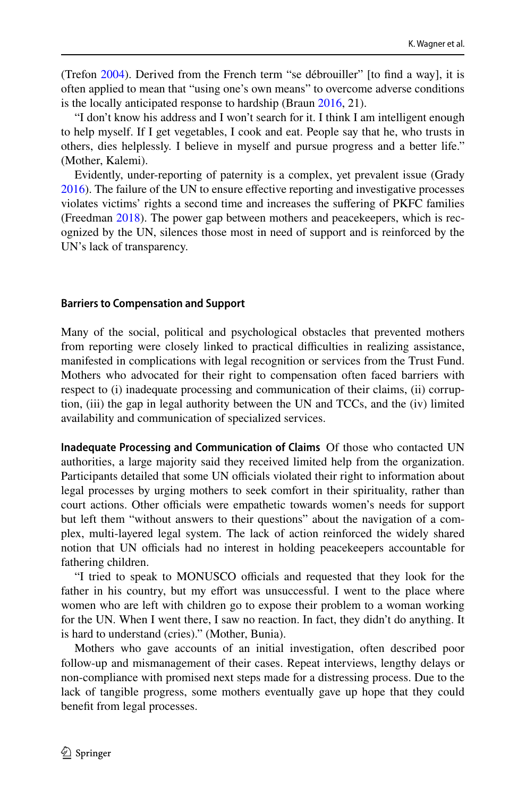(Trefon [2004](#page-27-16)). Derived from the French term "se débrouiller" [to fnd a way], it is often applied to mean that "using one's own means" to overcome adverse conditions is the locally anticipated response to hardship (Braun [2016,](#page-25-16) 21).

"I don't know his address and I won't search for it. I think I am intelligent enough to help myself. If I get vegetables, I cook and eat. People say that he, who trusts in others, dies helplessly. I believe in myself and pursue progress and a better life." (Mother, Kalemi).

Evidently, under-reporting of paternity is a complex, yet prevalent issue (Grady [2016](#page-26-14)). The failure of the UN to ensure efective reporting and investigative processes violates victims' rights a second time and increases the sufering of PKFC families (Freedman [2018](#page-26-4)). The power gap between mothers and peacekeepers, which is recognized by the UN, silences those most in need of support and is reinforced by the UN's lack of transparency.

#### **Barriers to Compensation and Support**

Many of the social, political and psychological obstacles that prevented mothers from reporting were closely linked to practical difficulties in realizing assistance, manifested in complications with legal recognition or services from the Trust Fund. Mothers who advocated for their right to compensation often faced barriers with respect to (i) inadequate processing and communication of their claims, (ii) corruption, (iii) the gap in legal authority between the UN and TCCs, and the (iv) limited availability and communication of specialized services.

**Inadequate Processing and Communication of Claims** Of those who contacted UN authorities, a large majority said they received limited help from the organization. Participants detailed that some UN officials violated their right to information about legal processes by urging mothers to seek comfort in their spirituality, rather than court actions. Other officials were empathetic towards women's needs for support but left them "without answers to their questions" about the navigation of a complex, multi-layered legal system. The lack of action reinforced the widely shared notion that UN officials had no interest in holding peacekeepers accountable for fathering children.

"I tried to speak to MONUSCO officials and requested that they look for the father in his country, but my effort was unsuccessful. I went to the place where women who are left with children go to expose their problem to a woman working for the UN. When I went there, I saw no reaction. In fact, they didn't do anything. It is hard to understand (cries)." (Mother, Bunia).

Mothers who gave accounts of an initial investigation, often described poor follow-up and mismanagement of their cases. Repeat interviews, lengthy delays or non-compliance with promised next steps made for a distressing process. Due to the lack of tangible progress, some mothers eventually gave up hope that they could beneft from legal processes.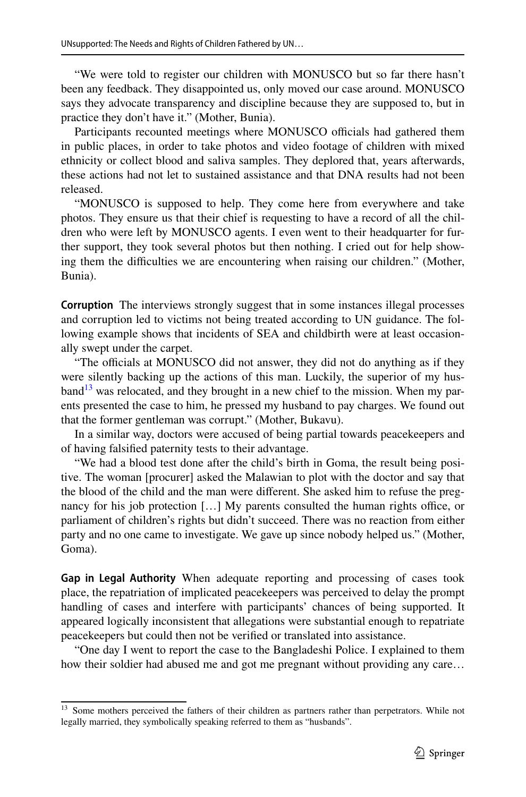"We were told to register our children with MONUSCO but so far there hasn't been any feedback. They disappointed us, only moved our case around. MONUSCO says they advocate transparency and discipline because they are supposed to, but in practice they don't have it." (Mother, Bunia).

Participants recounted meetings where MONUSCO officials had gathered them in public places, in order to take photos and video footage of children with mixed ethnicity or collect blood and saliva samples. They deplored that, years afterwards, these actions had not let to sustained assistance and that DNA results had not been released.

"MONUSCO is supposed to help. They come here from everywhere and take photos. They ensure us that their chief is requesting to have a record of all the children who were left by MONUSCO agents. I even went to their headquarter for further support, they took several photos but then nothing. I cried out for help showing them the difficulties we are encountering when raising our children." (Mother, Bunia).

**Corruption** The interviews strongly suggest that in some instances illegal processes and corruption led to victims not being treated according to UN guidance. The following example shows that incidents of SEA and childbirth were at least occasionally swept under the carpet.

"The officials at MONUSCO did not answer, they did not do anything as if they were silently backing up the actions of this man. Luckily, the superior of my hus- $band<sup>13</sup>$  $band<sup>13</sup>$  $band<sup>13</sup>$  was relocated, and they brought in a new chief to the mission. When my parents presented the case to him, he pressed my husband to pay charges. We found out that the former gentleman was corrupt." (Mother, Bukavu).

In a similar way, doctors were accused of being partial towards peacekeepers and of having falsifed paternity tests to their advantage.

"We had a blood test done after the child's birth in Goma, the result being positive. The woman [procurer] asked the Malawian to plot with the doctor and say that the blood of the child and the man were diferent. She asked him to refuse the pregnancy for his job protection [...] My parents consulted the human rights office, or parliament of children's rights but didn't succeed. There was no reaction from either party and no one came to investigate. We gave up since nobody helped us." (Mother, Goma).

**Gap in Legal Authority** When adequate reporting and processing of cases took place, the repatriation of implicated peacekeepers was perceived to delay the prompt handling of cases and interfere with participants' chances of being supported. It appeared logically inconsistent that allegations were substantial enough to repatriate peacekeepers but could then not be verifed or translated into assistance.

"One day I went to report the case to the Bangladeshi Police. I explained to them how their soldier had abused me and got me pregnant without providing any care...

<span id="page-17-0"></span><sup>&</sup>lt;sup>13</sup> Some mothers perceived the fathers of their children as partners rather than perpetrators. While not legally married, they symbolically speaking referred to them as "husbands".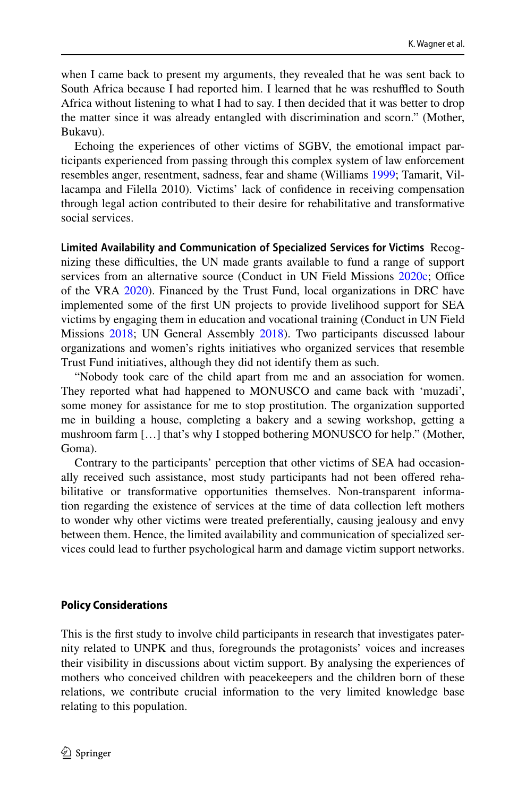when I came back to present my arguments, they revealed that he was sent back to South Africa because I had reported him. I learned that he was reshuffled to South Africa without listening to what I had to say. I then decided that it was better to drop the matter since it was already entangled with discrimination and scorn." (Mother, Bukavu).

Echoing the experiences of other victims of SGBV, the emotional impact participants experienced from passing through this complex system of law enforcement resembles anger, resentment, sadness, fear and shame (Williams [1999;](#page-28-5) Tamarit, Villacampa and Filella 2010). Victims' lack of confdence in receiving compensation through legal action contributed to their desire for rehabilitative and transformative social services.

**Limited Availability and Communication of Specialized Services for Victims** Recognizing these difculties, the UN made grants available to fund a range of support services from an alternative source (Conduct in UN Field Missions [2020c](#page-25-17); Office of the VRA [2020\)](#page-27-17). Financed by the Trust Fund, local organizations in DRC have implemented some of the frst UN projects to provide livelihood support for SEA victims by engaging them in education and vocational training (Conduct in UN Field Missions [2018](#page-25-18); UN General Assembly [2018](#page-27-18)). Two participants discussed labour organizations and women's rights initiatives who organized services that resemble Trust Fund initiatives, although they did not identify them as such.

"Nobody took care of the child apart from me and an association for women. They reported what had happened to MONUSCO and came back with 'muzadi', some money for assistance for me to stop prostitution. The organization supported me in building a house, completing a bakery and a sewing workshop, getting a mushroom farm […] that's why I stopped bothering MONUSCO for help." (Mother, Goma).

Contrary to the participants' perception that other victims of SEA had occasionally received such assistance, most study participants had not been ofered rehabilitative or transformative opportunities themselves. Non-transparent information regarding the existence of services at the time of data collection left mothers to wonder why other victims were treated preferentially, causing jealousy and envy between them. Hence, the limited availability and communication of specialized services could lead to further psychological harm and damage victim support networks.

#### **Policy Considerations**

This is the frst study to involve child participants in research that investigates paternity related to UNPK and thus, foregrounds the protagonists' voices and increases their visibility in discussions about victim support. By analysing the experiences of mothers who conceived children with peacekeepers and the children born of these relations, we contribute crucial information to the very limited knowledge base relating to this population.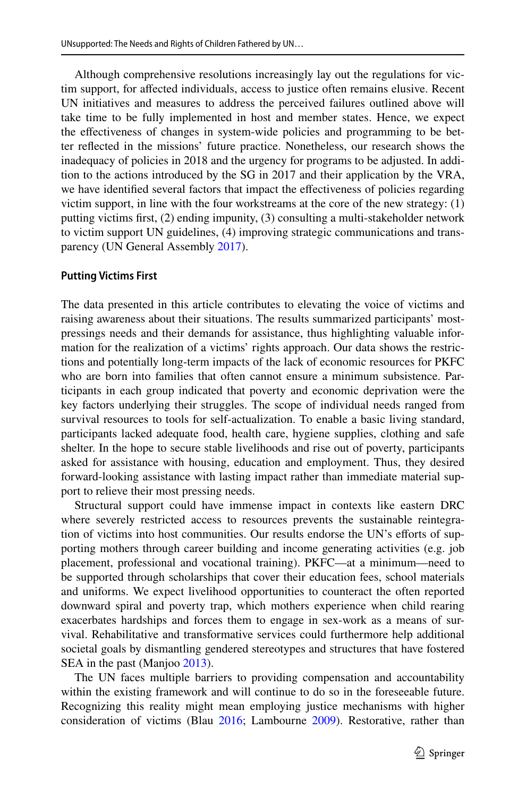Although comprehensive resolutions increasingly lay out the regulations for victim support, for afected individuals, access to justice often remains elusive. Recent UN initiatives and measures to address the perceived failures outlined above will take time to be fully implemented in host and member states. Hence, we expect the efectiveness of changes in system-wide policies and programming to be better refected in the missions' future practice. Nonetheless, our research shows the inadequacy of policies in 2018 and the urgency for programs to be adjusted. In addition to the actions introduced by the SG in 2017 and their application by the VRA, we have identifed several factors that impact the efectiveness of policies regarding victim support, in line with the four workstreams at the core of the new strategy: (1) putting victims frst, (2) ending impunity, (3) consulting a multi-stakeholder network to victim support UN guidelines, (4) improving strategic communications and transparency (UN General Assembly [2017\)](#page-27-5).

#### **Putting Victims First**

The data presented in this article contributes to elevating the voice of victims and raising awareness about their situations. The results summarized participants' mostpressings needs and their demands for assistance, thus highlighting valuable information for the realization of a victims' rights approach. Our data shows the restrictions and potentially long-term impacts of the lack of economic resources for PKFC who are born into families that often cannot ensure a minimum subsistence. Participants in each group indicated that poverty and economic deprivation were the key factors underlying their struggles. The scope of individual needs ranged from survival resources to tools for self-actualization. To enable a basic living standard, participants lacked adequate food, health care, hygiene supplies, clothing and safe shelter. In the hope to secure stable livelihoods and rise out of poverty, participants asked for assistance with housing, education and employment. Thus, they desired forward-looking assistance with lasting impact rather than immediate material support to relieve their most pressing needs.

Structural support could have immense impact in contexts like eastern DRC where severely restricted access to resources prevents the sustainable reintegration of victims into host communities. Our results endorse the UN's eforts of supporting mothers through career building and income generating activities (e.g. job placement, professional and vocational training). PKFC—at a minimum—need to be supported through scholarships that cover their education fees, school materials and uniforms. We expect livelihood opportunities to counteract the often reported downward spiral and poverty trap, which mothers experience when child rearing exacerbates hardships and forces them to engage in sex-work as a means of survival. Rehabilitative and transformative services could furthermore help additional societal goals by dismantling gendered stereotypes and structures that have fostered SEA in the past (Manjoo [2013\)](#page-26-17).

The UN faces multiple barriers to providing compensation and accountability within the existing framework and will continue to do so in the foreseeable future. Recognizing this reality might mean employing justice mechanisms with higher consideration of victims (Blau [2016;](#page-25-1) Lambourne [2009\)](#page-26-18). Restorative, rather than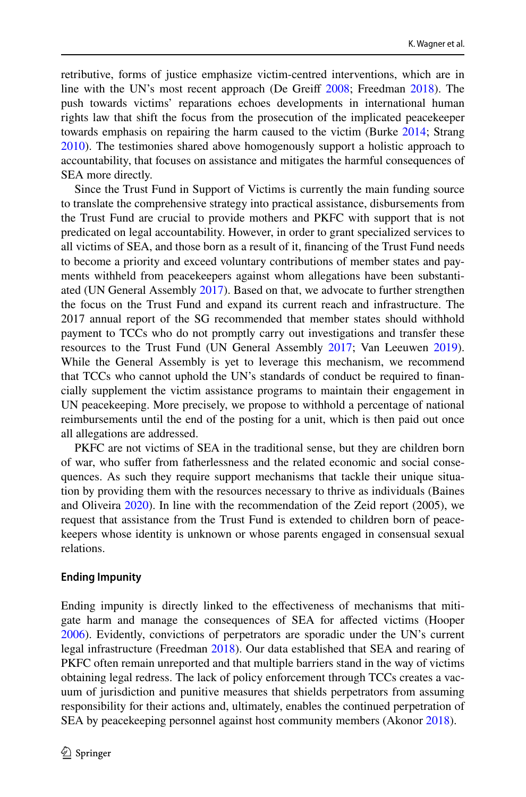retributive, forms of justice emphasize victim-centred interventions, which are in line with the UN's most recent approach (De Greif [2008](#page-25-19); Freedman [2018\)](#page-26-4). The push towards victims' reparations echoes developments in international human rights law that shift the focus from the prosecution of the implicated peacekeeper towards emphasis on repairing the harm caused to the victim (Burke [2014](#page-25-5); Strang [2010](#page-27-19)). The testimonies shared above homogenously support a holistic approach to accountability, that focuses on assistance and mitigates the harmful consequences of SEA more directly.

Since the Trust Fund in Support of Victims is currently the main funding source to translate the comprehensive strategy into practical assistance, disbursements from the Trust Fund are crucial to provide mothers and PKFC with support that is not predicated on legal accountability. However, in order to grant specialized services to all victims of SEA, and those born as a result of it, fnancing of the Trust Fund needs to become a priority and exceed voluntary contributions of member states and payments withheld from peacekeepers against whom allegations have been substantiated (UN General Assembly [2017\)](#page-27-5). Based on that, we advocate to further strengthen the focus on the Trust Fund and expand its current reach and infrastructure. The 2017 annual report of the SG recommended that member states should withhold payment to TCCs who do not promptly carry out investigations and transfer these resources to the Trust Fund (UN General Assembly [2017](#page-27-5); Van Leeuwen [2019\)](#page-28-6). While the General Assembly is yet to leverage this mechanism, we recommend that TCCs who cannot uphold the UN's standards of conduct be required to fnancially supplement the victim assistance programs to maintain their engagement in UN peacekeeping. More precisely, we propose to withhold a percentage of national reimbursements until the end of the posting for a unit, which is then paid out once all allegations are addressed.

PKFC are not victims of SEA in the traditional sense, but they are children born of war, who sufer from fatherlessness and the related economic and social consequences. As such they require support mechanisms that tackle their unique situation by providing them with the resources necessary to thrive as individuals (Baines and Oliveira [2020](#page-25-3)). In line with the recommendation of the Zeid report (2005), we request that assistance from the Trust Fund is extended to children born of peacekeepers whose identity is unknown or whose parents engaged in consensual sexual relations.

#### **Ending Impunity**

Ending impunity is directly linked to the efectiveness of mechanisms that mitigate harm and manage the consequences of SEA for afected victims (Hooper [2006](#page-26-19)). Evidently, convictions of perpetrators are sporadic under the UN's current legal infrastructure (Freedman [2018\)](#page-26-4). Our data established that SEA and rearing of PKFC often remain unreported and that multiple barriers stand in the way of victims obtaining legal redress. The lack of policy enforcement through TCCs creates a vacuum of jurisdiction and punitive measures that shields perpetrators from assuming responsibility for their actions and, ultimately, enables the continued perpetration of SEA by peacekeeping personnel against host community members (Akonor [2018](#page-25-20)).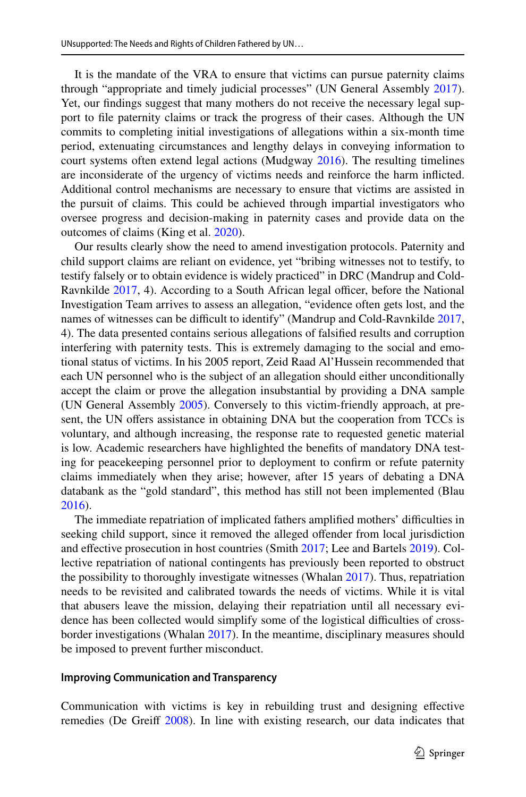It is the mandate of the VRA to ensure that victims can pursue paternity claims through "appropriate and timely judicial processes" (UN General Assembly [2017\)](#page-27-5). Yet, our fndings suggest that many mothers do not receive the necessary legal support to fle paternity claims or track the progress of their cases. Although the UN commits to completing initial investigations of allegations within a six-month time period, extenuating circumstances and lengthy delays in conveying information to court systems often extend legal actions (Mudgway [2016](#page-26-5)). The resulting timelines are inconsiderate of the urgency of victims needs and reinforce the harm inficted. Additional control mechanisms are necessary to ensure that victims are assisted in the pursuit of claims. This could be achieved through impartial investigators who oversee progress and decision-making in paternity cases and provide data on the outcomes of claims (King et al. [2020\)](#page-26-20).

Our results clearly show the need to amend investigation protocols. Paternity and child support claims are reliant on evidence, yet "bribing witnesses not to testify, to testify falsely or to obtain evidence is widely practiced" in DRC (Mandrup and Cold-Ravnkilde [2017,](#page-26-10) 4). According to a South African legal officer, before the National Investigation Team arrives to assess an allegation, "evidence often gets lost, and the names of witnesses can be difficult to identify" (Mandrup and Cold-Ravnkilde [2017,](#page-26-10) 4). The data presented contains serious allegations of falsifed results and corruption interfering with paternity tests. This is extremely damaging to the social and emotional status of victims. In his 2005 report, Zeid Raad Al'Hussein recommended that each UN personnel who is the subject of an allegation should either unconditionally accept the claim or prove the allegation insubstantial by providing a DNA sample (UN General Assembly [2005\)](#page-27-1). Conversely to this victim-friendly approach, at present, the UN offers assistance in obtaining DNA but the cooperation from TCCs is voluntary, and although increasing, the response rate to requested genetic material is low. Academic researchers have highlighted the benefts of mandatory DNA testing for peacekeeping personnel prior to deployment to confrm or refute paternity claims immediately when they arise; however, after 15 years of debating a DNA databank as the "gold standard", this method has still not been implemented (Blau [2016](#page-25-1)).

The immediate repatriation of implicated fathers amplifed mothers' difculties in seeking child support, since it removed the alleged offender from local jurisdiction and efective prosecution in host countries (Smith [2017;](#page-27-20) Lee and Bartels [2019](#page-26-2)). Collective repatriation of national contingents has previously been reported to obstruct the possibility to thoroughly investigate witnesses (Whalan [2017\)](#page-28-7). Thus, repatriation needs to be revisited and calibrated towards the needs of victims. While it is vital that abusers leave the mission, delaying their repatriation until all necessary evidence has been collected would simplify some of the logistical difficulties of crossborder investigations (Whalan [2017\)](#page-28-7). In the meantime, disciplinary measures should be imposed to prevent further misconduct.

#### **Improving Communication and Transparency**

Communication with victims is key in rebuilding trust and designing efective remedies (De Greiff [2008\)](#page-25-19). In line with existing research, our data indicates that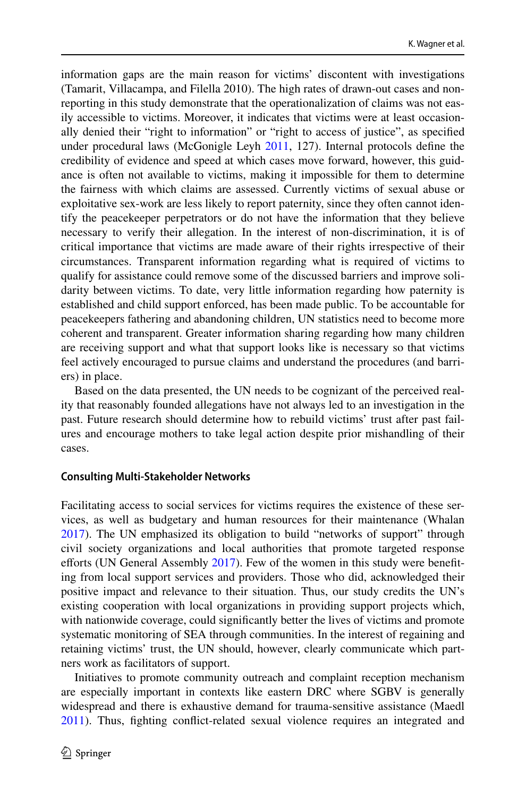information gaps are the main reason for victims' discontent with investigations (Tamarit, Villacampa, and Filella 2010). The high rates of drawn-out cases and nonreporting in this study demonstrate that the operationalization of claims was not easily accessible to victims. Moreover, it indicates that victims were at least occasionally denied their "right to information" or "right to access of justice", as specifed under procedural laws (McGonigle Leyh [2011,](#page-26-21) 127). Internal protocols defne the credibility of evidence and speed at which cases move forward, however, this guidance is often not available to victims, making it impossible for them to determine the fairness with which claims are assessed. Currently victims of sexual abuse or exploitative sex-work are less likely to report paternity, since they often cannot identify the peacekeeper perpetrators or do not have the information that they believe necessary to verify their allegation. In the interest of non-discrimination, it is of critical importance that victims are made aware of their rights irrespective of their circumstances. Transparent information regarding what is required of victims to qualify for assistance could remove some of the discussed barriers and improve solidarity between victims. To date, very little information regarding how paternity is established and child support enforced, has been made public. To be accountable for peacekeepers fathering and abandoning children, UN statistics need to become more coherent and transparent. Greater information sharing regarding how many children are receiving support and what that support looks like is necessary so that victims feel actively encouraged to pursue claims and understand the procedures (and barriers) in place.

Based on the data presented, the UN needs to be cognizant of the perceived reality that reasonably founded allegations have not always led to an investigation in the past. Future research should determine how to rebuild victims' trust after past failures and encourage mothers to take legal action despite prior mishandling of their cases.

#### **Consulting Multi‑Stakeholder Networks**

Facilitating access to social services for victims requires the existence of these services, as well as budgetary and human resources for their maintenance (Whalan [2017](#page-28-7)). The UN emphasized its obligation to build "networks of support" through civil society organizations and local authorities that promote targeted response efforts (UN General Assembly [2017](#page-27-5)). Few of the women in this study were benefiting from local support services and providers. Those who did, acknowledged their positive impact and relevance to their situation. Thus, our study credits the UN's existing cooperation with local organizations in providing support projects which, with nationwide coverage, could signifcantly better the lives of victims and promote systematic monitoring of SEA through communities. In the interest of regaining and retaining victims' trust, the UN should, however, clearly communicate which partners work as facilitators of support.

Initiatives to promote community outreach and complaint reception mechanism are especially important in contexts like eastern DRC where SGBV is generally widespread and there is exhaustive demand for trauma-sensitive assistance (Maedl [2011](#page-26-22)). Thus, fghting confict-related sexual violence requires an integrated and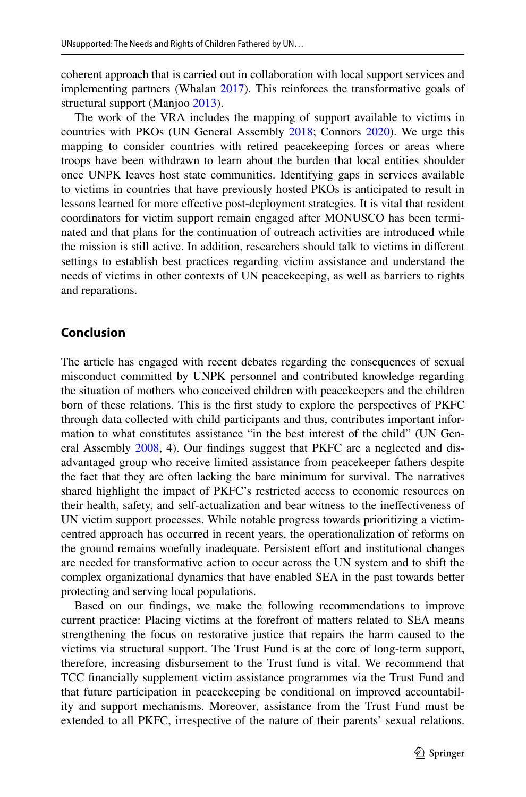coherent approach that is carried out in collaboration with local support services and implementing partners (Whalan [2017](#page-28-7)). This reinforces the transformative goals of structural support (Manjoo [2013](#page-26-17)).

The work of the VRA includes the mapping of support available to victims in countries with PKOs (UN General Assembly [2018;](#page-27-18) Connors [2020\)](#page-25-9). We urge this mapping to consider countries with retired peacekeeping forces or areas where troops have been withdrawn to learn about the burden that local entities shoulder once UNPK leaves host state communities. Identifying gaps in services available to victims in countries that have previously hosted PKOs is anticipated to result in lessons learned for more efective post-deployment strategies. It is vital that resident coordinators for victim support remain engaged after MONUSCO has been terminated and that plans for the continuation of outreach activities are introduced while the mission is still active. In addition, researchers should talk to victims in diferent settings to establish best practices regarding victim assistance and understand the needs of victims in other contexts of UN peacekeeping, as well as barriers to rights and reparations.

# **Conclusion**

The article has engaged with recent debates regarding the consequences of sexual misconduct committed by UNPK personnel and contributed knowledge regarding the situation of mothers who conceived children with peacekeepers and the children born of these relations. This is the frst study to explore the perspectives of PKFC through data collected with child participants and thus, contributes important information to what constitutes assistance "in the best interest of the child" (UN General Assembly [2008](#page-27-11), 4). Our fndings suggest that PKFC are a neglected and disadvantaged group who receive limited assistance from peacekeeper fathers despite the fact that they are often lacking the bare minimum for survival. The narratives shared highlight the impact of PKFC's restricted access to economic resources on their health, safety, and self-actualization and bear witness to the inefectiveness of UN victim support processes. While notable progress towards prioritizing a victimcentred approach has occurred in recent years, the operationalization of reforms on the ground remains woefully inadequate. Persistent efort and institutional changes are needed for transformative action to occur across the UN system and to shift the complex organizational dynamics that have enabled SEA in the past towards better protecting and serving local populations.

Based on our fndings, we make the following recommendations to improve current practice: Placing victims at the forefront of matters related to SEA means strengthening the focus on restorative justice that repairs the harm caused to the victims via structural support. The Trust Fund is at the core of long-term support, therefore, increasing disbursement to the Trust fund is vital. We recommend that TCC fnancially supplement victim assistance programmes via the Trust Fund and that future participation in peacekeeping be conditional on improved accountability and support mechanisms. Moreover, assistance from the Trust Fund must be extended to all PKFC, irrespective of the nature of their parents' sexual relations.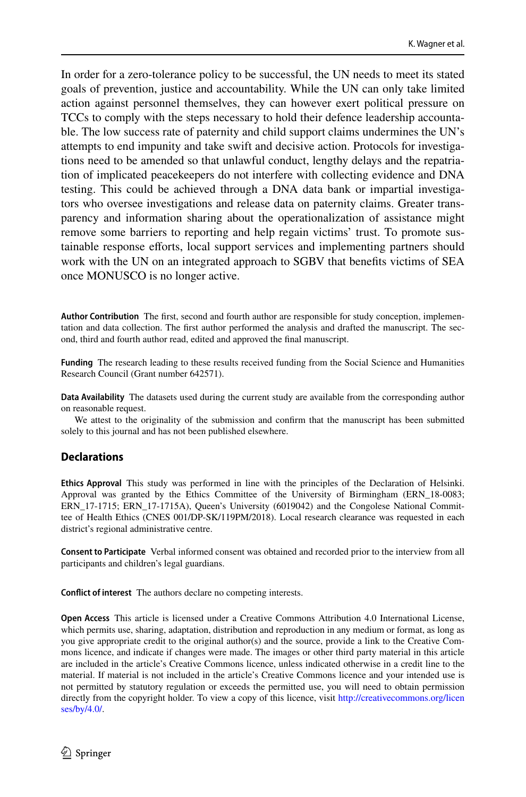In order for a zero-tolerance policy to be successful, the UN needs to meet its stated goals of prevention, justice and accountability. While the UN can only take limited action against personnel themselves, they can however exert political pressure on TCCs to comply with the steps necessary to hold their defence leadership accountable. The low success rate of paternity and child support claims undermines the UN's attempts to end impunity and take swift and decisive action. Protocols for investigations need to be amended so that unlawful conduct, lengthy delays and the repatriation of implicated peacekeepers do not interfere with collecting evidence and DNA testing. This could be achieved through a DNA data bank or impartial investigators who oversee investigations and release data on paternity claims. Greater transparency and information sharing about the operationalization of assistance might remove some barriers to reporting and help regain victims' trust. To promote sustainable response eforts, local support services and implementing partners should work with the UN on an integrated approach to SGBV that benefts victims of SEA once MONUSCO is no longer active.

**Author Contribution** The frst, second and fourth author are responsible for study conception, implementation and data collection. The frst author performed the analysis and drafted the manuscript. The second, third and fourth author read, edited and approved the fnal manuscript.

**Funding** The research leading to these results received funding from the Social Science and Humanities Research Council (Grant number 642571).

**Data Availability** The datasets used during the current study are available from the corresponding author on reasonable request.

We attest to the originality of the submission and confrm that the manuscript has been submitted solely to this journal and has not been published elsewhere.

#### **Declarations**

**Ethics Approval** This study was performed in line with the principles of the Declaration of Helsinki. Approval was granted by the Ethics Committee of the University of Birmingham (ERN\_18-0083; ERN\_17-1715; ERN\_17-1715A), Queen's University (6019042) and the Congolese National Committee of Health Ethics (CNES 001/DP-SK/119PM/2018). Local research clearance was requested in each district's regional administrative centre.

**Consent to Participate** Verbal informed consent was obtained and recorded prior to the interview from all participants and children's legal guardians.

**Confict of interest** The authors declare no competing interests.

**Open Access** This article is licensed under a Creative Commons Attribution 4.0 International License, which permits use, sharing, adaptation, distribution and reproduction in any medium or format, as long as you give appropriate credit to the original author(s) and the source, provide a link to the Creative Commons licence, and indicate if changes were made. The images or other third party material in this article are included in the article's Creative Commons licence, unless indicated otherwise in a credit line to the material. If material is not included in the article's Creative Commons licence and your intended use is not permitted by statutory regulation or exceeds the permitted use, you will need to obtain permission directly from the copyright holder. To view a copy of this licence, visit [http://creativecommons.org/licen](http://creativecommons.org/licenses/by/4.0/) [ses/by/4.0/](http://creativecommons.org/licenses/by/4.0/).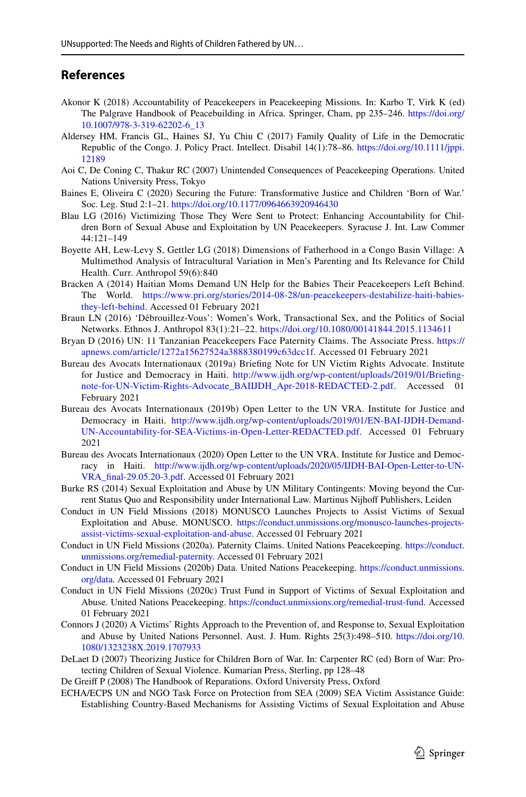# **References**

- <span id="page-25-20"></span>Akonor K (2018) Accountability of Peacekeepers in Peacekeeping Missions. In: Karbo T, Virk K (ed) The Palgrave Handbook of Peacebuilding in Africa. Springer, Cham, pp 235–246. [https://doi.org/](https://doi.org/10.1007/978-3-319-62202-6_13) [10.1007/978-3-319-62202-6\\_13](https://doi.org/10.1007/978-3-319-62202-6_13)
- <span id="page-25-15"></span>Aldersey HM, Francis GL, Haines SJ, Yu Chiu C (2017) Family Quality of Life in the Democratic Republic of the Congo. J. Policy Pract. Intellect. Disabil 14(1):78–86. [https://doi.org/10.1111/jppi.](https://doi.org/10.1111/jppi.12189) [12189](https://doi.org/10.1111/jppi.12189)
- <span id="page-25-0"></span>Aoi C, De Coning C, Thakur RC (2007) Unintended Consequences of Peacekeeping Operations. United Nations University Press, Tokyo
- <span id="page-25-3"></span>Baines E, Oliveira C (2020) Securing the Future: Transformative Justice and Children 'Born of War.' Soc. Leg. Stud 2:1–21.<https://doi.org/10.1177/0964663920946430>
- <span id="page-25-1"></span>Blau LG (2016) Victimizing Those They Were Sent to Protect: Enhancing Accountability for Children Born of Sexual Abuse and Exploitation by UN Peacekeepers. Syracuse J. Int. Law Commer 44:121–149
- <span id="page-25-14"></span>Boyette AH, Lew-Levy S, Gettler LG (2018) Dimensions of Fatherhood in a Congo Basin Village: A Multimethod Analysis of Intracultural Variation in Men's Parenting and Its Relevance for Child Health. Curr. Anthropol 59(6):840
- <span id="page-25-13"></span>Bracken A (2014) Haitian Moms Demand UN Help for the Babies Their Peacekeepers Left Behind. The World. [https://www.pri.org/stories/2014-08-28/un-peacekeepers-destabilize-haiti-babies](https://www.pri.org/stories/2014-08-28/un-peacekeepers-destabilize-haiti-babies-they-left-behind)[they-left-behind](https://www.pri.org/stories/2014-08-28/un-peacekeepers-destabilize-haiti-babies-they-left-behind). Accessed 01 February 2021
- <span id="page-25-16"></span>Braun LN (2016) 'Débrouillez-Vous': Women's Work, Transactional Sex, and the Politics of Social Networks. Ethnos J. Anthropol 83(1):21–22.<https://doi.org/10.1080/00141844.2015.1134611>
- <span id="page-25-12"></span>Bryan D (2016) UN: 11 Tanzanian Peacekeepers Face Paternity Claims. The Associate Press. [https://](https://apnews.com/article/1272a15627524a3888380199c63dcc1f) [apnews.com/article/1272a15627524a3888380199c63dcc1f](https://apnews.com/article/1272a15627524a3888380199c63dcc1f). Accessed 01 February 2021
- <span id="page-25-8"></span>Bureau des Avocats Internationaux (2019a) Briefng Note for UN Victim Rights Advocate. Institute for Justice and Democracy in Haiti. [http://www.ijdh.org/wp-content/uploads/2019/01/Briefing](http://www.ijdh.org/wp-content/uploads/2019/01/Briefing-note-for-UN-Victim-Rights-Advocate_BAIIJDH_Apr-2018-REDACTED-2.pdf)[note-for-UN-Victim-Rights-Advocate\\_BAIIJDH\\_Apr-2018-REDACTED-2.pdf.](http://www.ijdh.org/wp-content/uploads/2019/01/Briefing-note-for-UN-Victim-Rights-Advocate_BAIIJDH_Apr-2018-REDACTED-2.pdf) Accessed 01 February 2021
- <span id="page-25-10"></span>Bureau des Avocats Internationaux (2019b) Open Letter to the UN VRA. Institute for Justice and Democracy in Haiti. [http://www.ijdh.org/wp-content/uploads/2019/01/EN-BAI-IJDH-Demand-](http://www.ijdh.org/wp-content/uploads/2019/01/EN-BAI-IJDH-Demand-UN-Accountability-for-SEA-Victims-in-Open-Letter-REDACTED.pdf)[UN-Accountability-for-SEA-Victims-in-Open-Letter-REDACTED.pdf](http://www.ijdh.org/wp-content/uploads/2019/01/EN-BAI-IJDH-Demand-UN-Accountability-for-SEA-Victims-in-Open-Letter-REDACTED.pdf). Accessed 01 February 2021
- <span id="page-25-11"></span>Bureau des Avocats Internationaux (2020) Open Letter to the UN VRA. Institute for Justice and Democracy in Haiti. [http://www.ijdh.org/wp-content/uploads/2020/05/IJDH-BAI-Open-Letter-to-UN-](http://www.ijdh.org/wp-content/uploads/2020/05/IJDH-BAI-Open-Letter-to-UN-VRA_final-29.05.20-3.pdf)[VRA\\_fnal-29.05.20-3.pdf](http://www.ijdh.org/wp-content/uploads/2020/05/IJDH-BAI-Open-Letter-to-UN-VRA_final-29.05.20-3.pdf). Accessed 01 February 2021
- <span id="page-25-5"></span>Burke RS (2014) Sexual Exploitation and Abuse by UN Military Contingents: Moving beyond the Current Status Quo and Responsibility under International Law. Martinus Nijhoff Publishers, Leiden
- <span id="page-25-18"></span>Conduct in UN Field Missions (2018) MONUSCO Launches Projects to Assist Victims of Sexual Exploitation and Abuse. MONUSCO. [https://conduct.unmissions.org/monusco-launches-projects](https://conduct.unmissions.org/monusco-launches-projects-assist-victims-sexual-exploitation-and-abuse)[assist-victims-sexual-exploitation-and-abuse](https://conduct.unmissions.org/monusco-launches-projects-assist-victims-sexual-exploitation-and-abuse). Accessed 01 February 2021
- <span id="page-25-6"></span>Conduct in UN Field Missions (2020a). Paternity Claims. United Nations Peacekeeping. [https://conduct.](https://conduct.unmissions.org/remedial-paternity) [unmissions.org/remedial-paternity](https://conduct.unmissions.org/remedial-paternity). Accessed 01 February 2021
- <span id="page-25-4"></span>Conduct in UN Field Missions (2020b) Data. United Nations Peacekeeping. [https://conduct.unmissions.](https://conduct.unmissions.org/data) [org/data](https://conduct.unmissions.org/data). Accessed 01 February 2021
- <span id="page-25-17"></span>Conduct in UN Field Missions (2020c) Trust Fund in Support of Victims of Sexual Exploitation and Abuse. United Nations Peacekeeping.<https://conduct.unmissions.org/remedial-trust-fund>. Accessed 01 February 2021
- <span id="page-25-9"></span>Connors J (2020) A Victims' Rights Approach to the Prevention of, and Response to, Sexual Exploitation and Abuse by United Nations Personnel. Aust. J. Hum. Rights 25(3):498–510. [https://doi.org/10.](https://doi.org/10.1080/1323238X.2019.1707933) [1080/1323238X.2019.1707933](https://doi.org/10.1080/1323238X.2019.1707933)
- <span id="page-25-2"></span>DeLaet D (2007) Theorizing Justice for Children Born of War. In: Carpenter RC (ed) Born of War: Protecting Children of Sexual Violence. Kumarian Press, Sterling, pp 128–48
- <span id="page-25-19"></span>De Greif P (2008) The Handbook of Reparations. Oxford University Press, Oxford
- <span id="page-25-7"></span>ECHA/ECPS UN and NGO Task Force on Protection from SEA (2009) SEA Victim Assistance Guide: Establishing Country-Based Mechanisms for Assisting Victims of Sexual Exploitation and Abuse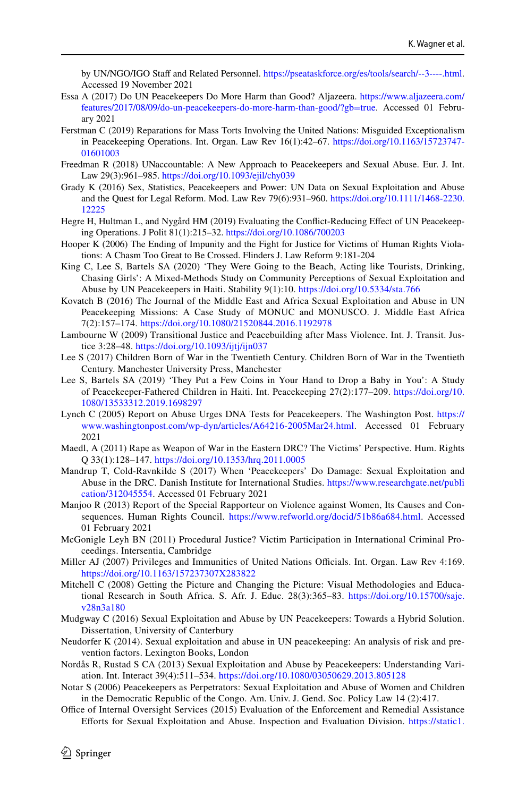by UN/NGO/IGO Staff and Related Personnel.<https://pseataskforce.org/es/tools/search/--3----.html>. Accessed 19 November 2021

- <span id="page-26-13"></span>Essa A (2017) Do UN Peacekeepers Do More Harm than Good? Aljazeera. [https://www.aljazeera.com/](https://www.aljazeera.com/features/2017/08/09/do-un-peacekeepers-do-more-harm-than-good/?gb=true) [features/2017/08/09/do-un-peacekeepers-do-more-harm-than-good/?gb=true.](https://www.aljazeera.com/features/2017/08/09/do-un-peacekeepers-do-more-harm-than-good/?gb=true) Accessed 01 February 2021
- <span id="page-26-3"></span>Ferstman C (2019) Reparations for Mass Torts Involving the United Nations: Misguided Exceptionalism in Peacekeeping Operations. Int. Organ. Law Rev 16(1):42–67. [https://doi.org/10.1163/15723747-](https://doi.org/10.1163/15723747-01601003) [01601003](https://doi.org/10.1163/15723747-01601003)
- <span id="page-26-4"></span>Freedman R (2018) UNaccountable: A New Approach to Peacekeepers and Sexual Abuse. Eur. J. Int. Law 29(3):961–985. <https://doi.org/10.1093/ejil/chy039>
- <span id="page-26-14"></span>Grady K (2016) Sex, Statistics, Peacekeepers and Power: UN Data on Sexual Exploitation and Abuse and the Quest for Legal Reform. Mod. Law Rev 79(6):931–960. [https://doi.org/10.1111/1468-2230.](https://doi.org/10.1111/1468-2230.12225) [12225](https://doi.org/10.1111/1468-2230.12225)
- <span id="page-26-0"></span>Hegre H, Hultman L, and Nygård HM (2019) Evaluating the Confict-Reducing Efect of UN Peacekeeping Operations. J Polit 81(1):215–32. <https://doi.org/10.1086/700203>
- <span id="page-26-19"></span>Hooper K (2006) The Ending of Impunity and the Fight for Justice for Victims of Human Rights Violations: A Chasm Too Great to Be Crossed. Flinders J. Law Reform 9:181-204
- <span id="page-26-20"></span>King C, Lee S, Bartels SA (2020) 'They Were Going to the Beach, Acting like Tourists, Drinking, Chasing Girls': A Mixed-Methods Study on Community Perceptions of Sexual Exploitation and Abuse by UN Peacekeepers in Haiti. Stability 9(1):10. <https://doi.org/10.5334/sta.766>
- <span id="page-26-6"></span>Kovatch B (2016) The Journal of the Middle East and Africa Sexual Exploitation and Abuse in UN Peacekeeping Missions: A Case Study of MONUC and MONUSCO. J. Middle East Africa 7(2):157–174.<https://doi.org/10.1080/21520844.2016.1192978>
- <span id="page-26-18"></span>Lambourne W (2009) Transitional Justice and Peacebuilding after Mass Violence. Int. J. Transit. Justice 3:28–48.<https://doi.org/10.1093/ijtj/ijn037>
- <span id="page-26-8"></span>Lee S (2017) Children Born of War in the Twentieth Century. Children Born of War in the Twentieth Century. Manchester University Press, Manchester
- <span id="page-26-2"></span>Lee S, Bartels SA (2019) 'They Put a Few Coins in Your Hand to Drop a Baby in You': A Study of Peacekeeper-Fathered Children in Haiti. Int. Peacekeeping 27(2):177–209. [https://doi.org/10.](https://doi.org/10.1080/13533312.2019.1698297) [1080/13533312.2019.1698297](https://doi.org/10.1080/13533312.2019.1698297)
- <span id="page-26-12"></span>Lynch C (2005) Report on Abuse Urges DNA Tests for Peacekeepers. The Washington Post. [https://](https://www.washingtonpost.com/wp-dyn/articles/A64216-2005Mar24.html) [www.washingtonpost.com/wp-dyn/articles/A64216-2005Mar24.html](https://www.washingtonpost.com/wp-dyn/articles/A64216-2005Mar24.html). Accessed 01 February 2021
- <span id="page-26-22"></span>Maedl, A (2011) Rape as Weapon of War in the Eastern DRC? The Victims' Perspective. Hum. Rights Q 33(1):128–147.<https://doi.org/10.1353/hrq.2011.0005>
- <span id="page-26-10"></span>Mandrup T, Cold-Ravnkilde S (2017) When 'Peacekeepers' Do Damage: Sexual Exploitation and Abuse in the DRC. Danish Institute for International Studies. [https://www.researchgate.net/publi](https://www.researchgate.net/publication/312045554) [cation/312045554.](https://www.researchgate.net/publication/312045554) Accessed 01 February 2021
- <span id="page-26-17"></span>Manjoo R (2013) Report of the Special Rapporteur on Violence against Women, Its Causes and Consequences. Human Rights Council. [https://www.refworld.org/docid/51b86a684.html.](https://www.refworld.org/docid/51b86a684.html) Accessed 01 February 2021
- <span id="page-26-21"></span>McGonigle Leyh BN (2011) Procedural Justice? Victim Participation in International Criminal Proceedings. Intersentia, Cambridge
- <span id="page-26-7"></span>Miller AJ (2007) Privileges and Immunities of United Nations Officials. Int. Organ. Law Rev 4:169. <https://doi.org/10.1163/157237307X283822>
- <span id="page-26-15"></span>Mitchell C (2008) Getting the Picture and Changing the Picture: Visual Methodologies and Educational Research in South Africa. S. Afr. J. Educ. 28(3):365–83. [https://doi.org/10.15700/saje.](https://doi.org/10.15700/saje.v28n3a180) [v28n3a180](https://doi.org/10.15700/saje.v28n3a180)
- <span id="page-26-5"></span>Mudgway C (2016) Sexual Exploitation and Abuse by UN Peacekeepers: Towards a Hybrid Solution. Dissertation, University of Canterbury
- <span id="page-26-9"></span>Neudorfer K (2014). Sexual exploitation and abuse in UN peacekeeping: An analysis of risk and prevention factors. Lexington Books, London
- <span id="page-26-1"></span>Nordås R, Rustad S CA (2013) Sexual Exploitation and Abuse by Peacekeepers: Understanding Variation. Int. Interact 39(4):511–534. <https://doi.org/10.1080/03050629.2013.805128>
- <span id="page-26-16"></span>Notar S (2006) Peacekeepers as Perpetrators: Sexual Exploitation and Abuse of Women and Children in the Democratic Republic of the Congo. Am. Univ. J. Gend. Soc. Policy Law 14 (2):417.
- <span id="page-26-11"></span>Office of Internal Oversight Services (2015) Evaluation of the Enforcement and Remedial Assistance Eforts for Sexual Exploitation and Abuse. Inspection and Evaluation Division. [https://static1.](https://static1.squarespace.com/static/514a0127e4b04d7440e8045d/t/557efa04e4b0e197d1246b50/1434384900163)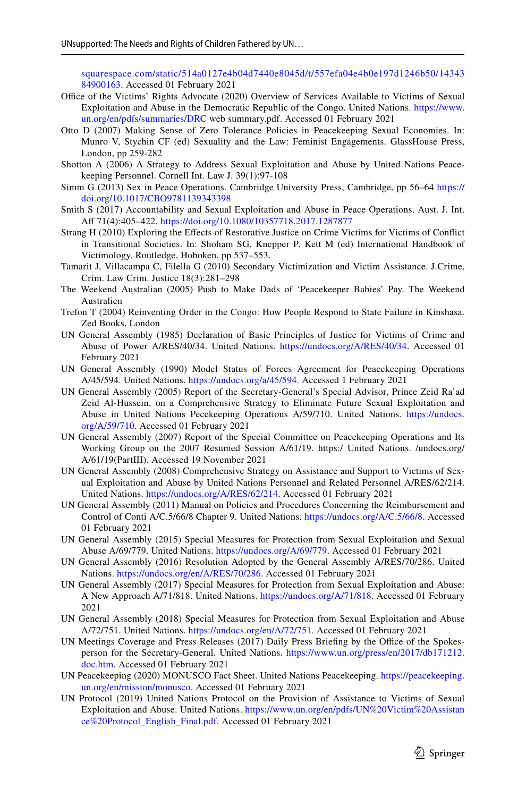[squarespace.com/static/514a0127e4b04d7440e8045d/t/557efa04e4b0e197d1246b50/14343](https://static1.squarespace.com/static/514a0127e4b04d7440e8045d/t/557efa04e4b0e197d1246b50/1434384900163) [84900163.](https://static1.squarespace.com/static/514a0127e4b04d7440e8045d/t/557efa04e4b0e197d1246b50/1434384900163) Accessed 01 February 2021

- <span id="page-27-17"></span>Office of the Victims' Rights Advocate (2020) Overview of Services Available to Victims of Sexual Exploitation and Abuse in the Democratic Republic of the Congo. United Nations. [https://www.](https://www.un.org/en/pdfs/summaries/DRC) [un.org/en/pdfs/summaries/DRC](https://www.un.org/en/pdfs/summaries/DRC) web summary.pdf. Accessed 01 February 2021
- <span id="page-27-4"></span>Otto D (2007) Making Sense of Zero Tolerance Policies in Peacekeeping Sexual Economies. In: Munro V, Stychin CF (ed) Sexuality and the Law: Feminist Engagements. GlassHouse Press, London, pp 259-282
- <span id="page-27-0"></span>Shotton A (2006) A Strategy to Address Sexual Exploitation and Abuse by United Nations Peacekeeping Personnel. Cornell Int. Law J. 39(1):97-108
- <span id="page-27-8"></span>Simm G (2013) Sex in Peace Operations. Cambridge University Press, Cambridge, pp 56–64 [https://](https://doi.org/10.1017/CBO9781139343398) [doi.org/10.1017/CBO9781139343398](https://doi.org/10.1017/CBO9781139343398)
- <span id="page-27-20"></span>Smith S (2017) Accountability and Sexual Exploitation and Abuse in Peace Operations. Aust. J. Int. Af 71(4):405–422.<https://doi.org/10.1080/10357718.2017.1287877>
- <span id="page-27-19"></span>Strang H (2010) Exploring the Efects of Restorative Justice on Crime Victims for Victims of Confict in Transitional Societies. In: Shoham SG, Knepper P, Kett M (ed) International Handbook of Victimology. Routledge, Hoboken, pp 537–553.
- <span id="page-27-2"></span>Tamarit J, Villacampa C, Filella G (2010) Secondary Victimization and Victim Assistance. J.Crime, Crim. Law Crim. Justice 18(3):281–298
- <span id="page-27-15"></span>The Weekend Australian (2005) Push to Make Dads of 'Peacekeeper Babies' Pay. The Weekend Australien
- <span id="page-27-16"></span>Trefon T (2004) Reinventing Order in the Congo: How People Respond to State Failure in Kinshasa. Zed Books, London
- <span id="page-27-3"></span>UN General Assembly (1985) Declaration of Basic Principles of Justice for Victims of Crime and Abuse of Power A/RES/40/34. United Nations. <https://undocs.org/A/RES/40/34>. Accessed 01 February 2021
- <span id="page-27-6"></span>UN General Assembly (1990) Model Status of Forces Agreement for Peacekeeping Operations A/45/594. United Nations. <https://undocs.org/a/45/594>. Accessed 1 February 2021
- <span id="page-27-1"></span>UN General Assembly (2005) Report of the Secretary-General's Special Advisor, Prince Zeid Ra'ad Zeid Al-Hussein, on a Comprehensive Strategy to Eliminate Future Sexual Exploitation and Abuse in United Nations Pecekeeping Operations A/59/710. United Nations. [https://undocs.](https://undocs.org/A/59/710) [org/A/59/710](https://undocs.org/A/59/710). Accessed 01 February 2021
- UN General Assembly (2007) Report of the Special Committee on Peacekeeping Operations and Its Working Group on the 2007 Resumed Session A/61/19. https:/ United Nations. /undocs.org/ A/61/19(PartIII). Accessed 19 November 2021
- <span id="page-27-11"></span>UN General Assembly (2008) Comprehensive Strategy on Assistance and Support to Victims of Sexual Exploitation and Abuse by United Nations Personnel and Related Personnel A/RES/62/214. United Nations.<https://undocs.org/A/RES/62/214>. Accessed 01 February 2021
- <span id="page-27-7"></span>UN General Assembly (2011) Manual on Policies and Procedures Concerning the Reimbursement and Control of Conti A/C.5/66/8 Chapter 9. United Nations. <https://undocs.org/A/C.5/66/8>. Accessed 01 February 2021
- <span id="page-27-10"></span>UN General Assembly (2015) Special Measures for Protection from Sexual Exploitation and Sexual Abuse A/69/779. United Nations. <https://undocs.org/A/69/779>. Accessed 01 February 2021
- <span id="page-27-12"></span>UN General Assembly (2016) Resolution Adopted by the General Assembly A/RES/70/286. United Nations. <https://undocs.org/en/A/RES/70/286>. Accessed 01 February 2021
- <span id="page-27-5"></span>UN General Assembly (2017) Special Measures for Protection from Sexual Exploitation and Abuse: A New Approach A/71/818. United Nations. <https://undocs.org/A/71/818>. Accessed 01 February 2021
- <span id="page-27-18"></span>UN General Assembly (2018) Special Measures for Protection from Sexual Exploitation and Abuse A/72/751. United Nations. [https://undocs.org/en/A/72/751.](https://undocs.org/en/A/72/751) Accessed 01 February 2021
- <span id="page-27-9"></span>UN Meetings Coverage and Press Releases (2017) Daily Press Briefing by the Office of the Spokesperson for the Secretary-General. United Nations. [https://www.un.org/press/en/2017/db171212.](https://www.un.org/press/en/2017/db171212.doc.htm) [doc.htm.](https://www.un.org/press/en/2017/db171212.doc.htm) Accessed 01 February 2021
- <span id="page-27-13"></span>UN Peacekeeping (2020) MONUSCO Fact Sheet. United Nations Peacekeeping. [https://peacekeeping.](https://peacekeeping.un.org/en/mission/monusco) [un.org/en/mission/monusco](https://peacekeeping.un.org/en/mission/monusco). Accessed 01 February 2021
- <span id="page-27-14"></span>UN Protocol (2019) United Nations Protocol on the Provision of Assistance to Victims of Sexual Exploitation and Abuse. United Nations. [https://www.un.org/en/pdfs/UN%20Victim%20Assistan](https://www.un.org/en/pdfs/UN%20Victim%20Assistance%20Protocol_English_Final.pdf) [ce%20Protocol\\_English\\_Final.pdf](https://www.un.org/en/pdfs/UN%20Victim%20Assistance%20Protocol_English_Final.pdf). Accessed 01 February 2021